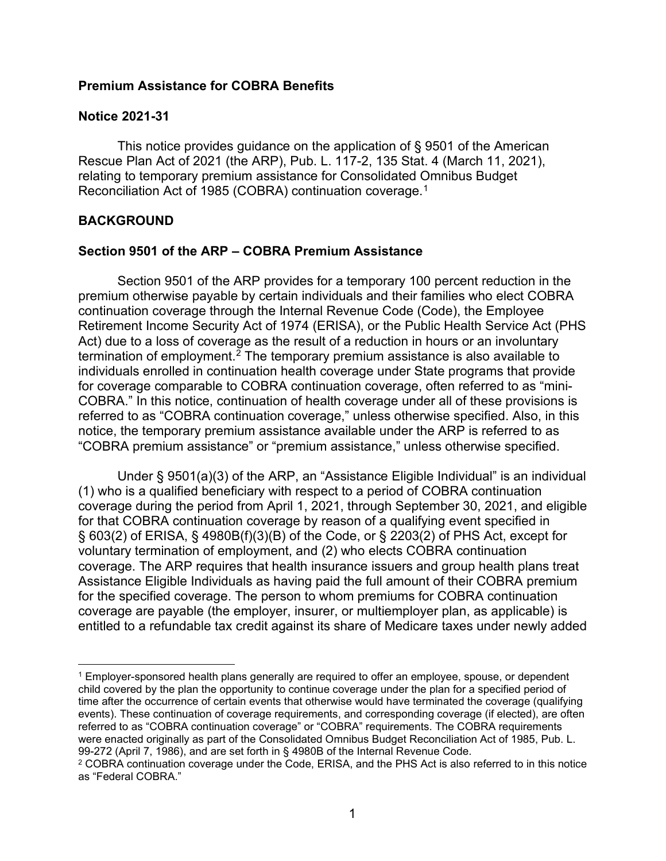#### **Premium Assistance for COBRA Benefits**

#### **Notice 2021-31**

This notice provides guidance on the application of § 9501 of the American Rescue Plan Act of 2021 (the ARP), Pub. L. 117-2, 135 Stat. 4 (March 11, 2021), relating to temporary premium assistance for Consolidated Omnibus Budget Reconciliation Act of 1985 (COBRA) continuation coverage.[1](#page-0-0)

### **BACKGROUND**

### **Section 9501 of the ARP – COBRA Premium Assistance**

Section 9501 of the ARP provides for a temporary 100 percent reduction in the premium otherwise payable by certain individuals and their families who elect COBRA continuation coverage through the Internal Revenue Code (Code), the Employee Retirement Income Security Act of 1974 (ERISA), or the Public Health Service Act (PHS Act) due to a loss of coverage as the result of a reduction in hours or an involuntary termination of employment.<sup>[2](#page-0-1)</sup> The temporary premium assistance is also available to individuals enrolled in continuation health coverage under State programs that provide for coverage comparable to COBRA continuation coverage, often referred to as "mini-COBRA." In this notice, continuation of health coverage under all of these provisions is referred to as "COBRA continuation coverage," unless otherwise specified. Also, in this notice, the temporary premium assistance available under the ARP is referred to as "COBRA premium assistance" or "premium assistance," unless otherwise specified.

Under § 9501(a)(3) of the ARP, an "Assistance Eligible Individual" is an individual (1) who is a qualified beneficiary with respect to a period of COBRA continuation coverage during the period from April 1, 2021, through September 30, 2021, and eligible for that COBRA continuation coverage by reason of a qualifying event specified in § 603(2) of ERISA, § 4980B(f)(3)(B) of the Code, or § 2203(2) of PHS Act, except for voluntary termination of employment, and (2) who elects COBRA continuation coverage. The ARP requires that health insurance issuers and group health plans treat Assistance Eligible Individuals as having paid the full amount of their COBRA premium for the specified coverage. The person to whom premiums for COBRA continuation coverage are payable (the employer, insurer, or multiemployer plan, as applicable) is entitled to a refundable tax credit against its share of Medicare taxes under newly added

<span id="page-0-0"></span><sup>1</sup> Employer-sponsored health plans generally are required to offer an employee, spouse, or dependent child covered by the plan the opportunity to continue coverage under the plan for a specified period of time after the occurrence of certain events that otherwise would have terminated the coverage (qualifying events). These continuation of coverage requirements, and corresponding coverage (if elected), are often referred to as "COBRA continuation coverage" or "COBRA" requirements. The COBRA requirements were enacted originally as part of the Consolidated Omnibus Budget Reconciliation Act of 1985, Pub. L. 99-272 (April 7, 1986), and are set forth in § 4980B of the Internal Revenue Code.

<span id="page-0-1"></span><sup>2</sup> COBRA continuation coverage under the Code, ERISA, and the PHS Act is also referred to in this notice as "Federal COBRA."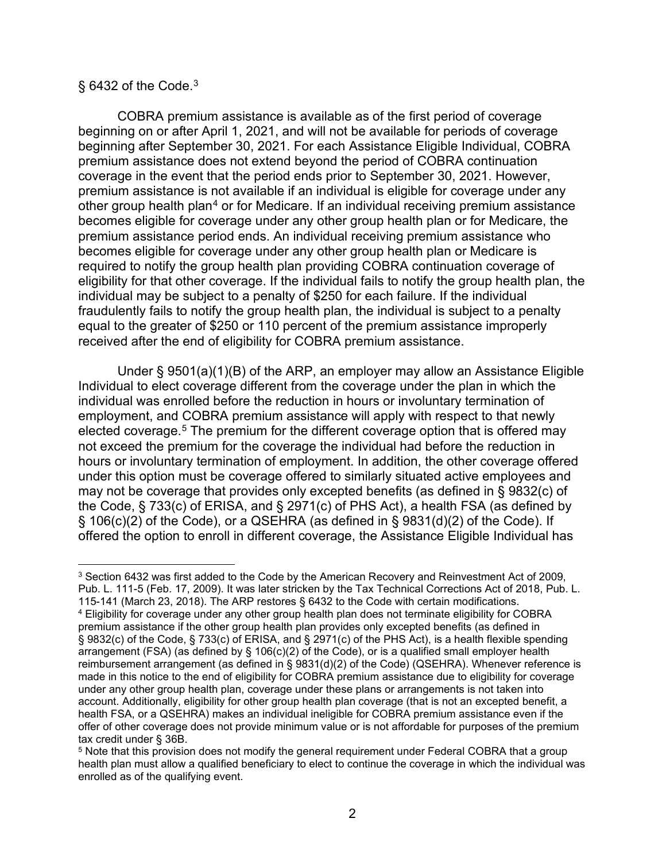#### $\S$  64[3](#page-1-0)2 of the Code.<sup>3</sup>

COBRA premium assistance is available as of the first period of coverage beginning on or after April 1, 2021, and will not be available for periods of coverage beginning after September 30, 2021. For each Assistance Eligible Individual, COBRA premium assistance does not extend beyond the period of COBRA continuation coverage in the event that the period ends prior to September 30, 2021. However, premium assistance is not available if an individual is eligible for coverage under any other group health plan<sup>[4](#page-1-1)</sup> or for Medicare. If an individual receiving premium assistance becomes eligible for coverage under any other group health plan or for Medicare, the premium assistance period ends. An individual receiving premium assistance who becomes eligible for coverage under any other group health plan or Medicare is required to notify the group health plan providing COBRA continuation coverage of eligibility for that other coverage. If the individual fails to notify the group health plan, the individual may be subject to a penalty of \$250 for each failure. If the individual fraudulently fails to notify the group health plan, the individual is subject to a penalty equal to the greater of \$250 or 110 percent of the premium assistance improperly received after the end of eligibility for COBRA premium assistance.

Under § 9501(a)(1)(B) of the ARP, an employer may allow an Assistance Eligible Individual to elect coverage different from the coverage under the plan in which the individual was enrolled before the reduction in hours or involuntary termination of employment, and COBRA premium assistance will apply with respect to that newly elected coverage.<sup>[5](#page-1-2)</sup> The premium for the different coverage option that is offered may not exceed the premium for the coverage the individual had before the reduction in hours or involuntary termination of employment. In addition, the other coverage offered under this option must be coverage offered to similarly situated active employees and may not be coverage that provides only excepted benefits (as defined in § 9832(c) of the Code, § 733(c) of ERISA, and § 2971(c) of PHS Act), a health FSA (as defined by § 106(c)(2) of the Code), or a QSEHRA (as defined in § 9831(d)(2) of the Code). If offered the option to enroll in different coverage, the Assistance Eligible Individual has

<span id="page-1-1"></span><span id="page-1-0"></span><sup>3</sup> Section 6432 was first added to the Code by the American Recovery and Reinvestment Act of 2009, Pub. L. 111-5 (Feb. 17, 2009). It was later stricken by the Tax Technical Corrections Act of 2018, Pub. L. 115-141 (March 23, 2018). The ARP restores § 6432 to the Code with certain modifications. <sup>4</sup> Eligibility for coverage under any other group health plan does not terminate eligibility for COBRA premium assistance if the other group health plan provides only excepted benefits (as defined in § 9832(c) of the Code, § 733(c) of ERISA, and § 2971(c) of the PHS Act), is a health flexible spending arrangement (FSA) (as defined by § 106(c)(2) of the Code), or is a qualified small employer health reimbursement arrangement (as defined in § 9831(d)(2) of the Code) (QSEHRA). Whenever reference is made in this notice to the end of eligibility for COBRA premium assistance due to eligibility for coverage under any other group health plan, coverage under these plans or arrangements is not taken into account. Additionally, eligibility for other group health plan coverage (that is not an excepted benefit, a health FSA, or a QSEHRA) makes an individual ineligible for COBRA premium assistance even if the offer of other coverage does not provide minimum value or is not affordable for purposes of the premium tax credit under § 36B.

<span id="page-1-2"></span><sup>5</sup> Note that this provision does not modify the general requirement under Federal COBRA that a group health plan must allow a qualified beneficiary to elect to continue the coverage in which the individual was enrolled as of the qualifying event.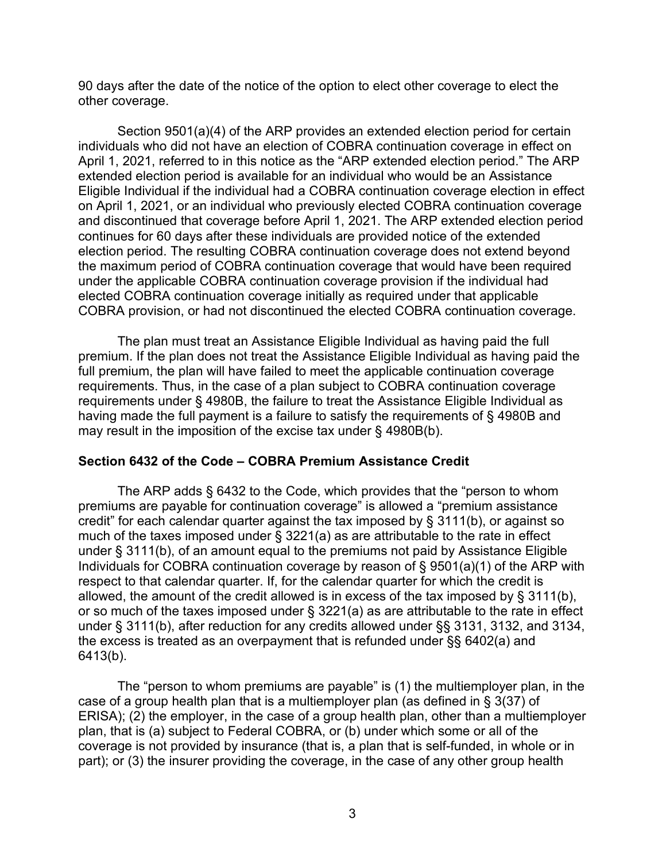90 days after the date of the notice of the option to elect other coverage to elect the other coverage.

Section 9501(a)(4) of the ARP provides an extended election period for certain individuals who did not have an election of COBRA continuation coverage in effect on April 1, 2021, referred to in this notice as the "ARP extended election period." The ARP extended election period is available for an individual who would be an Assistance Eligible Individual if the individual had a COBRA continuation coverage election in effect on April 1, 2021, or an individual who previously elected COBRA continuation coverage and discontinued that coverage before April 1, 2021. The ARP extended election period continues for 60 days after these individuals are provided notice of the extended election period. The resulting COBRA continuation coverage does not extend beyond the maximum period of COBRA continuation coverage that would have been required under the applicable COBRA continuation coverage provision if the individual had elected COBRA continuation coverage initially as required under that applicable COBRA provision, or had not discontinued the elected COBRA continuation coverage.

The plan must treat an Assistance Eligible Individual as having paid the full premium. If the plan does not treat the Assistance Eligible Individual as having paid the full premium, the plan will have failed to meet the applicable continuation coverage requirements. Thus, in the case of a plan subject to COBRA continuation coverage requirements under § 4980B, the failure to treat the Assistance Eligible Individual as having made the full payment is a failure to satisfy the requirements of § 4980B and may result in the imposition of the excise tax under § 4980B(b).

#### **Section 6432 of the Code – COBRA Premium Assistance Credit**

The ARP adds § 6432 to the Code, which provides that the "person to whom premiums are payable for continuation coverage" is allowed a "premium assistance credit" for each calendar quarter against the tax imposed by § 3111(b), or against so much of the taxes imposed under § 3221(a) as are attributable to the rate in effect under § 3111(b), of an amount equal to the premiums not paid by Assistance Eligible Individuals for COBRA continuation coverage by reason of § 9501(a)(1) of the ARP with respect to that calendar quarter. If, for the calendar quarter for which the credit is allowed, the amount of the credit allowed is in excess of the tax imposed by § 3111(b), or so much of the taxes imposed under § 3221(a) as are attributable to the rate in effect under § 3111(b), after reduction for any credits allowed under §§ 3131, 3132, and 3134, the excess is treated as an overpayment that is refunded under §§ 6402(a) and 6413(b).

The "person to whom premiums are payable" is (1) the multiemployer plan, in the case of a group health plan that is a multiemployer plan (as defined in § 3(37) of ERISA); (2) the employer, in the case of a group health plan, other than a multiemployer plan, that is (a) subject to Federal COBRA, or (b) under which some or all of the coverage is not provided by insurance (that is, a plan that is self-funded, in whole or in part); or (3) the insurer providing the coverage, in the case of any other group health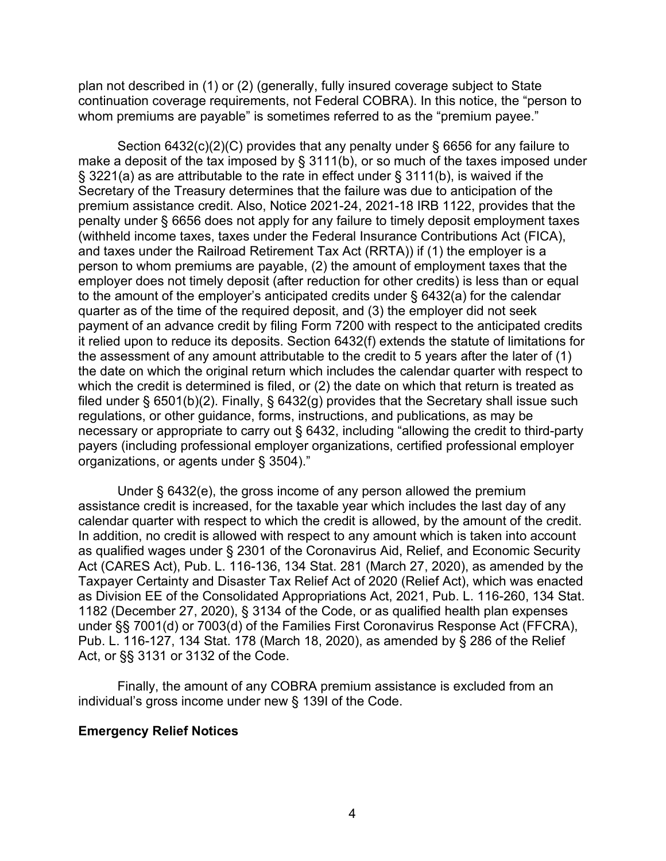plan not described in (1) or (2) (generally, fully insured coverage subject to State continuation coverage requirements, not Federal COBRA). In this notice, the "person to whom premiums are payable" is sometimes referred to as the "premium payee."

Section 6432(c)(2)(C) provides that any penalty under § 6656 for any failure to make a deposit of the tax imposed by § 3111(b), or so much of the taxes imposed under § 3221(a) as are attributable to the rate in effect under § 3111(b), is waived if the Secretary of the Treasury determines that the failure was due to anticipation of the premium assistance credit. Also, Notice 2021-24, 2021-18 IRB 1122, provides that the penalty under § 6656 does not apply for any failure to timely deposit employment taxes (withheld income taxes, taxes under the Federal Insurance Contributions Act (FICA), and taxes under the Railroad Retirement Tax Act (RRTA)) if (1) the employer is a person to whom premiums are payable, (2) the amount of employment taxes that the employer does not timely deposit (after reduction for other credits) is less than or equal to the amount of the employer's anticipated credits under § 6432(a) for the calendar quarter as of the time of the required deposit, and (3) the employer did not seek payment of an advance credit by filing Form 7200 with respect to the anticipated credits it relied upon to reduce its deposits. Section 6432(f) extends the statute of limitations for the assessment of any amount attributable to the credit to 5 years after the later of (1) the date on which the original return which includes the calendar quarter with respect to which the credit is determined is filed, or (2) the date on which that return is treated as filed under § 6501(b)(2). Finally, § 6432(g) provides that the Secretary shall issue such regulations, or other guidance, forms, instructions, and publications, as may be necessary or appropriate to carry out § 6432, including "allowing the credit to third-party payers (including professional employer organizations, certified professional employer organizations, or agents under § 3504)."

Under § 6432(e), the gross income of any person allowed the premium assistance credit is increased, for the taxable year which includes the last day of any calendar quarter with respect to which the credit is allowed, by the amount of the credit. In addition, no credit is allowed with respect to any amount which is taken into account as qualified wages under § 2301 of the Coronavirus Aid, Relief, and Economic Security Act (CARES Act), Pub. L. 116-136, 134 Stat. 281 (March 27, 2020), as amended by the Taxpayer Certainty and Disaster Tax Relief Act of 2020 (Relief Act), which was enacted as Division EE of the Consolidated Appropriations Act, 2021, Pub. L. 116-260, 134 Stat. 1182 (December 27, 2020), § 3134 of the Code, or as qualified health plan expenses under §§ 7001(d) or 7003(d) of the Families First Coronavirus Response Act (FFCRA), Pub. L. 116-127, 134 Stat. 178 (March 18, 2020), as amended by § 286 of the Relief Act, or §§ 3131 or 3132 of the Code.

Finally, the amount of any COBRA premium assistance is excluded from an individual's gross income under new § 139I of the Code.

#### **Emergency Relief Notices**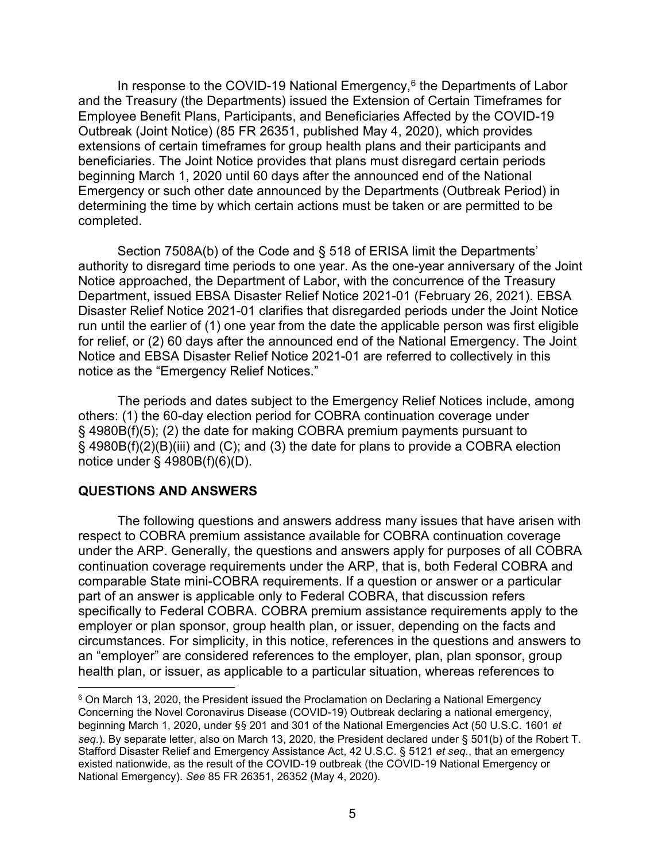In response to the COVID-19 National Emergency, $6$  the Departments of Labor and the Treasury (the Departments) issued the Extension of Certain Timeframes for Employee Benefit Plans, Participants, and Beneficiaries Affected by the COVID-19 Outbreak (Joint Notice) (85 FR 26351, published May 4, 2020), which provides extensions of certain timeframes for group health plans and their participants and beneficiaries. The Joint Notice provides that plans must disregard certain periods beginning March 1, 2020 until 60 days after the announced end of the National Emergency or such other date announced by the Departments (Outbreak Period) in determining the time by which certain actions must be taken or are permitted to be completed.

Section 7508A(b) of the Code and § 518 of ERISA limit the Departments' authority to disregard time periods to one year. As the one-year anniversary of the Joint Notice approached, the Department of Labor, with the concurrence of the Treasury Department, issued EBSA Disaster Relief Notice 2021-01 (February 26, 2021). EBSA Disaster Relief Notice 2021-01 clarifies that disregarded periods under the Joint Notice run until the earlier of (1) one year from the date the applicable person was first eligible for relief, or (2) 60 days after the announced end of the National Emergency. The Joint Notice and EBSA Disaster Relief Notice 2021-01 are referred to collectively in this notice as the "Emergency Relief Notices."

The periods and dates subject to the Emergency Relief Notices include, among others: (1) the 60-day election period for COBRA continuation coverage under § 4980B(f)(5); (2) the date for making COBRA premium payments pursuant to § 4980B(f)(2)(B)(iii) and (C); and (3) the date for plans to provide a COBRA election notice under § 4980B(f)(6)(D).

#### **QUESTIONS AND ANSWERS**

The following questions and answers address many issues that have arisen with respect to COBRA premium assistance available for COBRA continuation coverage under the ARP. Generally, the questions and answers apply for purposes of all COBRA continuation coverage requirements under the ARP, that is, both Federal COBRA and comparable State mini-COBRA requirements. If a question or answer or a particular part of an answer is applicable only to Federal COBRA, that discussion refers specifically to Federal COBRA. COBRA premium assistance requirements apply to the employer or plan sponsor, group health plan, or issuer, depending on the facts and circumstances. For simplicity, in this notice, references in the questions and answers to an "employer" are considered references to the employer, plan, plan sponsor, group health plan, or issuer, as applicable to a particular situation, whereas references to

<span id="page-4-0"></span><sup>&</sup>lt;sup>6</sup> On March 13, 2020, the President issued the Proclamation on Declaring a National Emergency Concerning the Novel Coronavirus Disease (COVID-19) Outbreak declaring a national emergency, beginning March 1, 2020, under §§ 201 and 301 of the National Emergencies Act (50 U.S.C. 1601 *et seq*.). By separate letter, also on March 13, 2020, the President declared under § 501(b) of the Robert T. Stafford Disaster Relief and Emergency Assistance Act, 42 U.S.C. § 5121 *et seq.*, that an emergency existed nationwide, as the result of the COVID-19 outbreak (the COVID-19 National Emergency or National Emergency). *See* 85 FR 26351, 26352 (May 4, 2020).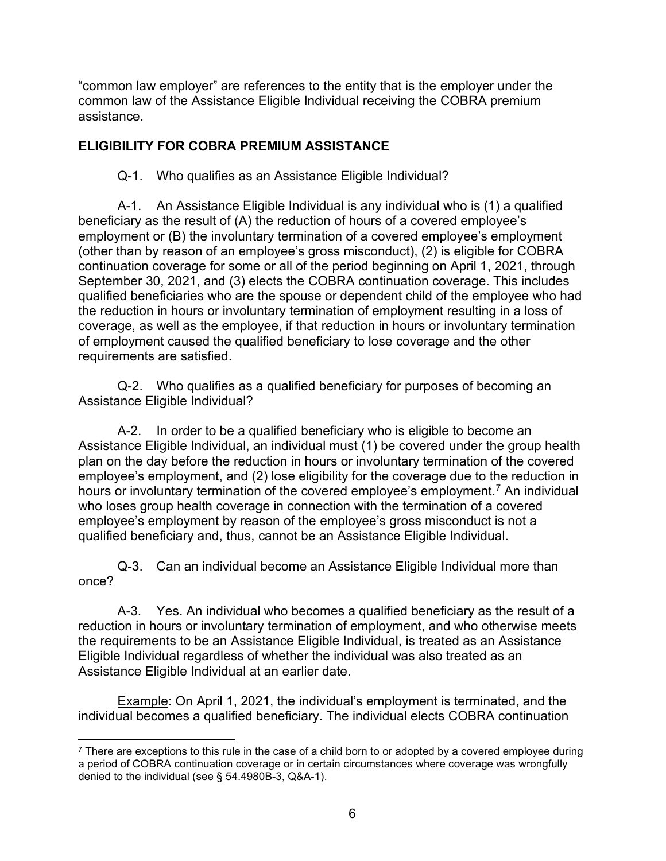"common law employer" are references to the entity that is the employer under the common law of the Assistance Eligible Individual receiving the COBRA premium assistance.

# **ELIGIBILITY FOR COBRA PREMIUM ASSISTANCE**

Q-1. Who qualifies as an Assistance Eligible Individual?

A-1. An Assistance Eligible Individual is any individual who is (1) a qualified beneficiary as the result of (A) the reduction of hours of a covered employee's employment or (B) the involuntary termination of a covered employee's employment (other than by reason of an employee's gross misconduct), (2) is eligible for COBRA continuation coverage for some or all of the period beginning on April 1, 2021, through September 30, 2021, and (3) elects the COBRA continuation coverage. This includes qualified beneficiaries who are the spouse or dependent child of the employee who had the reduction in hours or involuntary termination of employment resulting in a loss of coverage, as well as the employee, if that reduction in hours or involuntary termination of employment caused the qualified beneficiary to lose coverage and the other requirements are satisfied.

Q-2. Who qualifies as a qualified beneficiary for purposes of becoming an Assistance Eligible Individual?

A-2. In order to be a qualified beneficiary who is eligible to become an Assistance Eligible Individual, an individual must (1) be covered under the group health plan on the day before the reduction in hours or involuntary termination of the covered employee's employment, and (2) lose eligibility for the coverage due to the reduction in hours or involuntary termination of the covered employee's employment.<sup>[7](#page-5-0)</sup> An individual who loses group health coverage in connection with the termination of a covered employee's employment by reason of the employee's gross misconduct is not a qualified beneficiary and, thus, cannot be an Assistance Eligible Individual.

Q-3. Can an individual become an Assistance Eligible Individual more than once?

A-3. Yes. An individual who becomes a qualified beneficiary as the result of a reduction in hours or involuntary termination of employment, and who otherwise meets the requirements to be an Assistance Eligible Individual, is treated as an Assistance Eligible Individual regardless of whether the individual was also treated as an Assistance Eligible Individual at an earlier date.

Example: On April 1, 2021, the individual's employment is terminated, and the individual becomes a qualified beneficiary. The individual elects COBRA continuation

<span id="page-5-0"></span> $7$  There are exceptions to this rule in the case of a child born to or adopted by a covered employee during a period of COBRA continuation coverage or in certain circumstances where coverage was wrongfully denied to the individual (see § 54.4980B-3, Q&A-1).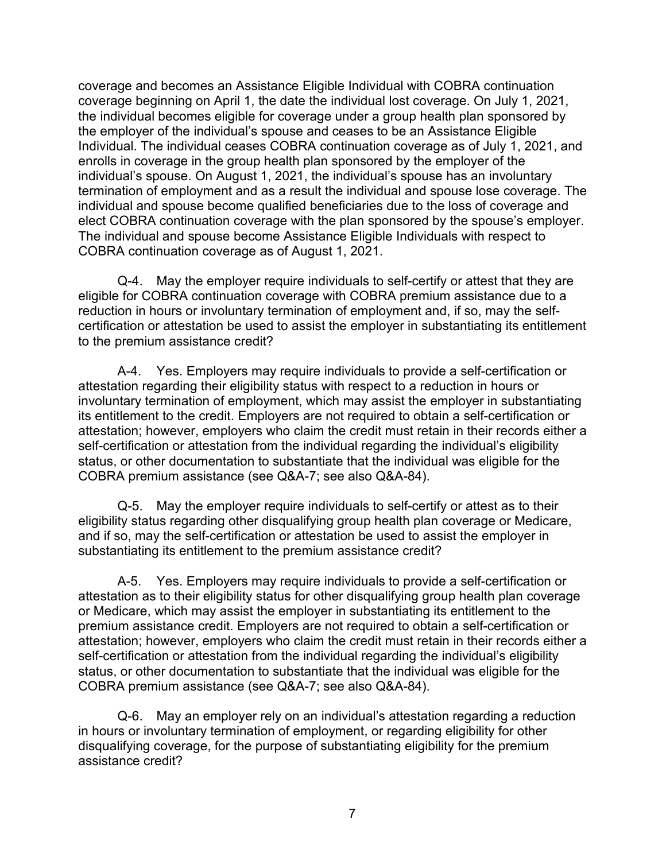coverage and becomes an Assistance Eligible Individual with COBRA continuation coverage beginning on April 1, the date the individual lost coverage. On July 1, 2021, the individual becomes eligible for coverage under a group health plan sponsored by the employer of the individual's spouse and ceases to be an Assistance Eligible Individual. The individual ceases COBRA continuation coverage as of July 1, 2021, and enrolls in coverage in the group health plan sponsored by the employer of the individual's spouse. On August 1, 2021, the individual's spouse has an involuntary termination of employment and as a result the individual and spouse lose coverage. The individual and spouse become qualified beneficiaries due to the loss of coverage and elect COBRA continuation coverage with the plan sponsored by the spouse's employer. The individual and spouse become Assistance Eligible Individuals with respect to COBRA continuation coverage as of August 1, 2021.

Q-4. May the employer require individuals to self-certify or attest that they are eligible for COBRA continuation coverage with COBRA premium assistance due to a reduction in hours or involuntary termination of employment and, if so, may the selfcertification or attestation be used to assist the employer in substantiating its entitlement to the premium assistance credit?

A-4. Yes. Employers may require individuals to provide a self-certification or attestation regarding their eligibility status with respect to a reduction in hours or involuntary termination of employment, which may assist the employer in substantiating its entitlement to the credit. Employers are not required to obtain a self-certification or attestation; however, employers who claim the credit must retain in their records either a self-certification or attestation from the individual regarding the individual's eligibility status, or other documentation to substantiate that the individual was eligible for the COBRA premium assistance (see Q&A-7; see also Q&A-84).

Q-5. May the employer require individuals to self-certify or attest as to their eligibility status regarding other disqualifying group health plan coverage or Medicare, and if so, may the self-certification or attestation be used to assist the employer in substantiating its entitlement to the premium assistance credit?

A-5. Yes. Employers may require individuals to provide a self-certification or attestation as to their eligibility status for other disqualifying group health plan coverage or Medicare, which may assist the employer in substantiating its entitlement to the premium assistance credit. Employers are not required to obtain a self-certification or attestation; however, employers who claim the credit must retain in their records either a self-certification or attestation from the individual regarding the individual's eligibility status, or other documentation to substantiate that the individual was eligible for the COBRA premium assistance (see Q&A-7; see also Q&A-84).

Q-6. May an employer rely on an individual's attestation regarding a reduction in hours or involuntary termination of employment, or regarding eligibility for other disqualifying coverage, for the purpose of substantiating eligibility for the premium assistance credit?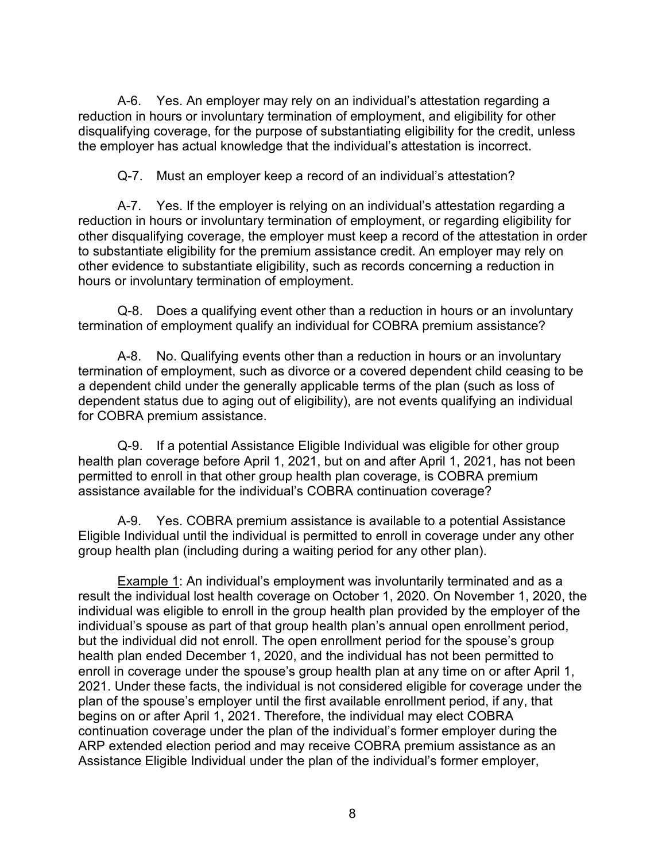A-6. Yes. An employer may rely on an individual's attestation regarding a reduction in hours or involuntary termination of employment, and eligibility for other disqualifying coverage, for the purpose of substantiating eligibility for the credit, unless the employer has actual knowledge that the individual's attestation is incorrect.

Q-7. Must an employer keep a record of an individual's attestation?

A-7. Yes. If the employer is relying on an individual's attestation regarding a reduction in hours or involuntary termination of employment, or regarding eligibility for other disqualifying coverage, the employer must keep a record of the attestation in order to substantiate eligibility for the premium assistance credit. An employer may rely on other evidence to substantiate eligibility, such as records concerning a reduction in hours or involuntary termination of employment.

Q-8. Does a qualifying event other than a reduction in hours or an involuntary termination of employment qualify an individual for COBRA premium assistance?

A-8. No. Qualifying events other than a reduction in hours or an involuntary termination of employment, such as divorce or a covered dependent child ceasing to be a dependent child under the generally applicable terms of the plan (such as loss of dependent status due to aging out of eligibility), are not events qualifying an individual for COBRA premium assistance.

Q-9. If a potential Assistance Eligible Individual was eligible for other group health plan coverage before April 1, 2021, but on and after April 1, 2021, has not been permitted to enroll in that other group health plan coverage, is COBRA premium assistance available for the individual's COBRA continuation coverage?

A-9. Yes. COBRA premium assistance is available to a potential Assistance Eligible Individual until the individual is permitted to enroll in coverage under any other group health plan (including during a waiting period for any other plan).

Example 1: An individual's employment was involuntarily terminated and as a result the individual lost health coverage on October 1, 2020. On November 1, 2020, the individual was eligible to enroll in the group health plan provided by the employer of the individual's spouse as part of that group health plan's annual open enrollment period, but the individual did not enroll. The open enrollment period for the spouse's group health plan ended December 1, 2020, and the individual has not been permitted to enroll in coverage under the spouse's group health plan at any time on or after April 1, 2021. Under these facts, the individual is not considered eligible for coverage under the plan of the spouse's employer until the first available enrollment period, if any, that begins on or after April 1, 2021. Therefore, the individual may elect COBRA continuation coverage under the plan of the individual's former employer during the ARP extended election period and may receive COBRA premium assistance as an Assistance Eligible Individual under the plan of the individual's former employer,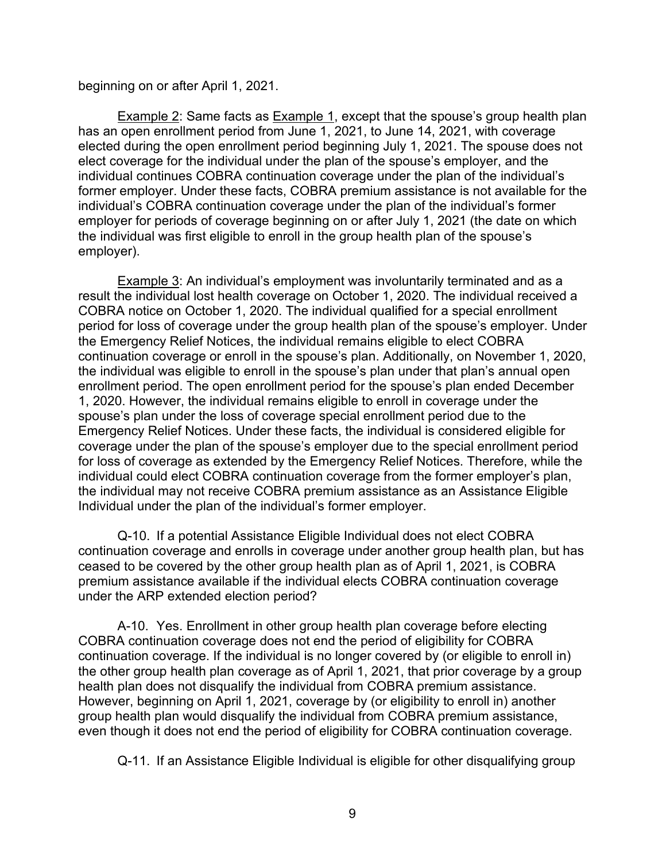beginning on or after April 1, 2021.

Example 2: Same facts as Example 1, except that the spouse's group health plan has an open enrollment period from June 1, 2021, to June 14, 2021, with coverage elected during the open enrollment period beginning July 1, 2021. The spouse does not elect coverage for the individual under the plan of the spouse's employer, and the individual continues COBRA continuation coverage under the plan of the individual's former employer. Under these facts, COBRA premium assistance is not available for the individual's COBRA continuation coverage under the plan of the individual's former employer for periods of coverage beginning on or after July 1, 2021 (the date on which the individual was first eligible to enroll in the group health plan of the spouse's employer).

Example 3: An individual's employment was involuntarily terminated and as a result the individual lost health coverage on October 1, 2020. The individual received a COBRA notice on October 1, 2020. The individual qualified for a special enrollment period for loss of coverage under the group health plan of the spouse's employer. Under the Emergency Relief Notices, the individual remains eligible to elect COBRA continuation coverage or enroll in the spouse's plan. Additionally, on November 1, 2020, the individual was eligible to enroll in the spouse's plan under that plan's annual open enrollment period. The open enrollment period for the spouse's plan ended December 1, 2020. However, the individual remains eligible to enroll in coverage under the spouse's plan under the loss of coverage special enrollment period due to the Emergency Relief Notices. Under these facts, the individual is considered eligible for coverage under the plan of the spouse's employer due to the special enrollment period for loss of coverage as extended by the Emergency Relief Notices. Therefore, while the individual could elect COBRA continuation coverage from the former employer's plan, the individual may not receive COBRA premium assistance as an Assistance Eligible Individual under the plan of the individual's former employer.

Q-10. If a potential Assistance Eligible Individual does not elect COBRA continuation coverage and enrolls in coverage under another group health plan, but has ceased to be covered by the other group health plan as of April 1, 2021, is COBRA premium assistance available if the individual elects COBRA continuation coverage under the ARP extended election period?

A-10. Yes. Enrollment in other group health plan coverage before electing COBRA continuation coverage does not end the period of eligibility for COBRA continuation coverage. If the individual is no longer covered by (or eligible to enroll in) the other group health plan coverage as of April 1, 2021, that prior coverage by a group health plan does not disqualify the individual from COBRA premium assistance. However, beginning on April 1, 2021, coverage by (or eligibility to enroll in) another group health plan would disqualify the individual from COBRA premium assistance, even though it does not end the period of eligibility for COBRA continuation coverage.

Q-11. If an Assistance Eligible Individual is eligible for other disqualifying group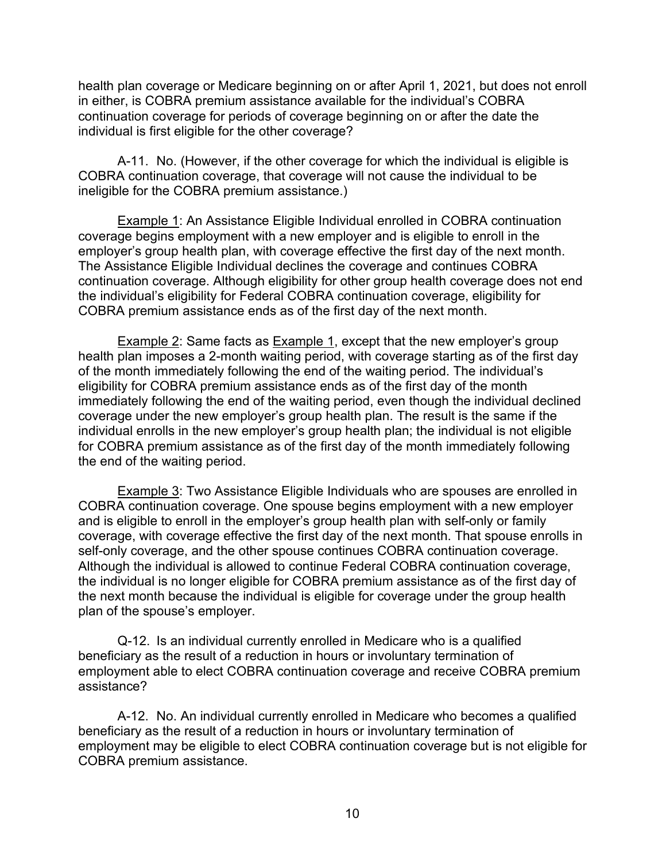health plan coverage or Medicare beginning on or after April 1, 2021, but does not enroll in either, is COBRA premium assistance available for the individual's COBRA continuation coverage for periods of coverage beginning on or after the date the individual is first eligible for the other coverage?

A-11. No. (However, if the other coverage for which the individual is eligible is COBRA continuation coverage, that coverage will not cause the individual to be ineligible for the COBRA premium assistance.)

Example 1: An Assistance Eligible Individual enrolled in COBRA continuation coverage begins employment with a new employer and is eligible to enroll in the employer's group health plan, with coverage effective the first day of the next month. The Assistance Eligible Individual declines the coverage and continues COBRA continuation coverage. Although eligibility for other group health coverage does not end the individual's eligibility for Federal COBRA continuation coverage, eligibility for COBRA premium assistance ends as of the first day of the next month.

Example 2: Same facts as Example 1, except that the new employer's group health plan imposes a 2-month waiting period, with coverage starting as of the first day of the month immediately following the end of the waiting period. The individual's eligibility for COBRA premium assistance ends as of the first day of the month immediately following the end of the waiting period, even though the individual declined coverage under the new employer's group health plan. The result is the same if the individual enrolls in the new employer's group health plan; the individual is not eligible for COBRA premium assistance as of the first day of the month immediately following the end of the waiting period.

Example 3: Two Assistance Eligible Individuals who are spouses are enrolled in COBRA continuation coverage. One spouse begins employment with a new employer and is eligible to enroll in the employer's group health plan with self-only or family coverage, with coverage effective the first day of the next month. That spouse enrolls in self-only coverage, and the other spouse continues COBRA continuation coverage. Although the individual is allowed to continue Federal COBRA continuation coverage, the individual is no longer eligible for COBRA premium assistance as of the first day of the next month because the individual is eligible for coverage under the group health plan of the spouse's employer.

Q-12. Is an individual currently enrolled in Medicare who is a qualified beneficiary as the result of a reduction in hours or involuntary termination of employment able to elect COBRA continuation coverage and receive COBRA premium assistance?

A-12. No. An individual currently enrolled in Medicare who becomes a qualified beneficiary as the result of a reduction in hours or involuntary termination of employment may be eligible to elect COBRA continuation coverage but is not eligible for COBRA premium assistance.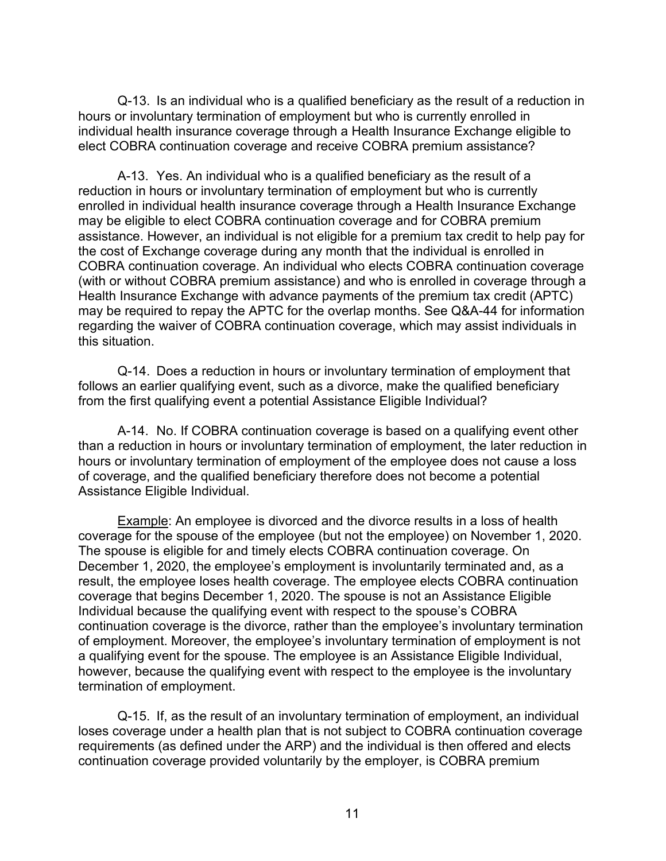Q-13. Is an individual who is a qualified beneficiary as the result of a reduction in hours or involuntary termination of employment but who is currently enrolled in individual health insurance coverage through a Health Insurance Exchange eligible to elect COBRA continuation coverage and receive COBRA premium assistance?

A-13. Yes. An individual who is a qualified beneficiary as the result of a reduction in hours or involuntary termination of employment but who is currently enrolled in individual health insurance coverage through a Health Insurance Exchange may be eligible to elect COBRA continuation coverage and for COBRA premium assistance. However, an individual is not eligible for a premium tax credit to help pay for the cost of Exchange coverage during any month that the individual is enrolled in COBRA continuation coverage. An individual who elects COBRA continuation coverage (with or without COBRA premium assistance) and who is enrolled in coverage through a Health Insurance Exchange with advance payments of the premium tax credit (APTC) may be required to repay the APTC for the overlap months. See Q&A-44 for information regarding the waiver of COBRA continuation coverage, which may assist individuals in this situation.

Q-14. Does a reduction in hours or involuntary termination of employment that follows an earlier qualifying event, such as a divorce, make the qualified beneficiary from the first qualifying event a potential Assistance Eligible Individual?

A-14. No. If COBRA continuation coverage is based on a qualifying event other than a reduction in hours or involuntary termination of employment, the later reduction in hours or involuntary termination of employment of the employee does not cause a loss of coverage, and the qualified beneficiary therefore does not become a potential Assistance Eligible Individual.

Example: An employee is divorced and the divorce results in a loss of health coverage for the spouse of the employee (but not the employee) on November 1, 2020. The spouse is eligible for and timely elects COBRA continuation coverage. On December 1, 2020, the employee's employment is involuntarily terminated and, as a result, the employee loses health coverage. The employee elects COBRA continuation coverage that begins December 1, 2020. The spouse is not an Assistance Eligible Individual because the qualifying event with respect to the spouse's COBRA continuation coverage is the divorce, rather than the employee's involuntary termination of employment. Moreover, the employee's involuntary termination of employment is not a qualifying event for the spouse. The employee is an Assistance Eligible Individual, however, because the qualifying event with respect to the employee is the involuntary termination of employment.

Q-15. If, as the result of an involuntary termination of employment, an individual loses coverage under a health plan that is not subject to COBRA continuation coverage requirements (as defined under the ARP) and the individual is then offered and elects continuation coverage provided voluntarily by the employer, is COBRA premium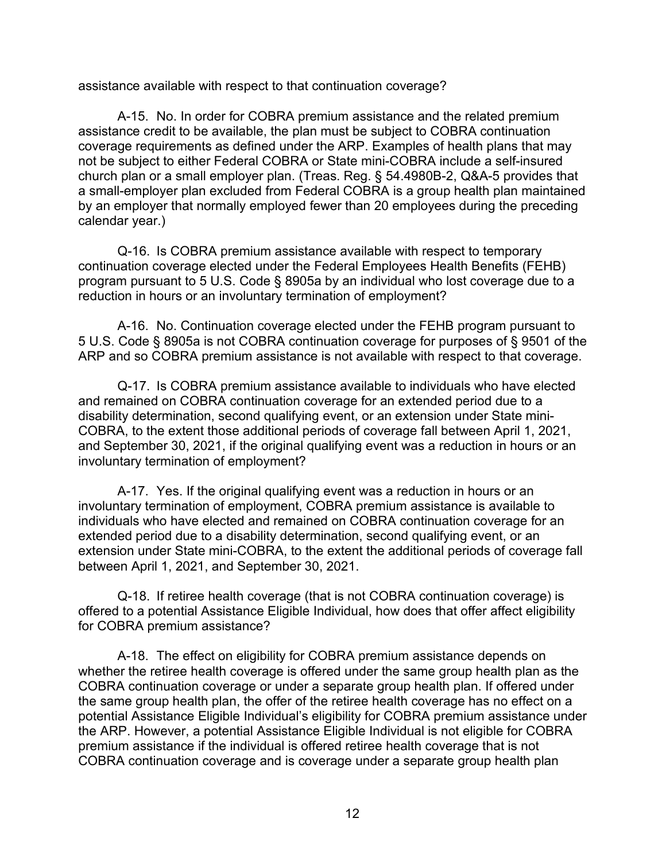assistance available with respect to that continuation coverage?

A-15. No. In order for COBRA premium assistance and the related premium assistance credit to be available, the plan must be subject to COBRA continuation coverage requirements as defined under the ARP. Examples of health plans that may not be subject to either Federal COBRA or State mini-COBRA include a self-insured church plan or a small employer plan. (Treas. Reg. § 54.4980B-2, Q&A-5 provides that a small-employer plan excluded from Federal COBRA is a group health plan maintained by an employer that normally employed fewer than 20 employees during the preceding calendar year.)

Q-16. Is COBRA premium assistance available with respect to temporary continuation coverage elected under the Federal Employees Health Benefits (FEHB) program pursuant to 5 U.S. Code § 8905a by an individual who lost coverage due to a reduction in hours or an involuntary termination of employment?

A-16. No. Continuation coverage elected under the FEHB program pursuant to 5 U.S. Code § 8905a is not COBRA continuation coverage for purposes of § 9501 of the ARP and so COBRA premium assistance is not available with respect to that coverage.

Q-17. Is COBRA premium assistance available to individuals who have elected and remained on COBRA continuation coverage for an extended period due to a disability determination, second qualifying event, or an extension under State mini-COBRA, to the extent those additional periods of coverage fall between April 1, 2021, and September 30, 2021, if the original qualifying event was a reduction in hours or an involuntary termination of employment?

A-17. Yes. If the original qualifying event was a reduction in hours or an involuntary termination of employment, COBRA premium assistance is available to individuals who have elected and remained on COBRA continuation coverage for an extended period due to a disability determination, second qualifying event, or an extension under State mini-COBRA, to the extent the additional periods of coverage fall between April 1, 2021, and September 30, 2021.

Q-18. If retiree health coverage (that is not COBRA continuation coverage) is offered to a potential Assistance Eligible Individual, how does that offer affect eligibility for COBRA premium assistance?

A-18. The effect on eligibility for COBRA premium assistance depends on whether the retiree health coverage is offered under the same group health plan as the COBRA continuation coverage or under a separate group health plan. If offered under the same group health plan, the offer of the retiree health coverage has no effect on a potential Assistance Eligible Individual's eligibility for COBRA premium assistance under the ARP. However, a potential Assistance Eligible Individual is not eligible for COBRA premium assistance if the individual is offered retiree health coverage that is not COBRA continuation coverage and is coverage under a separate group health plan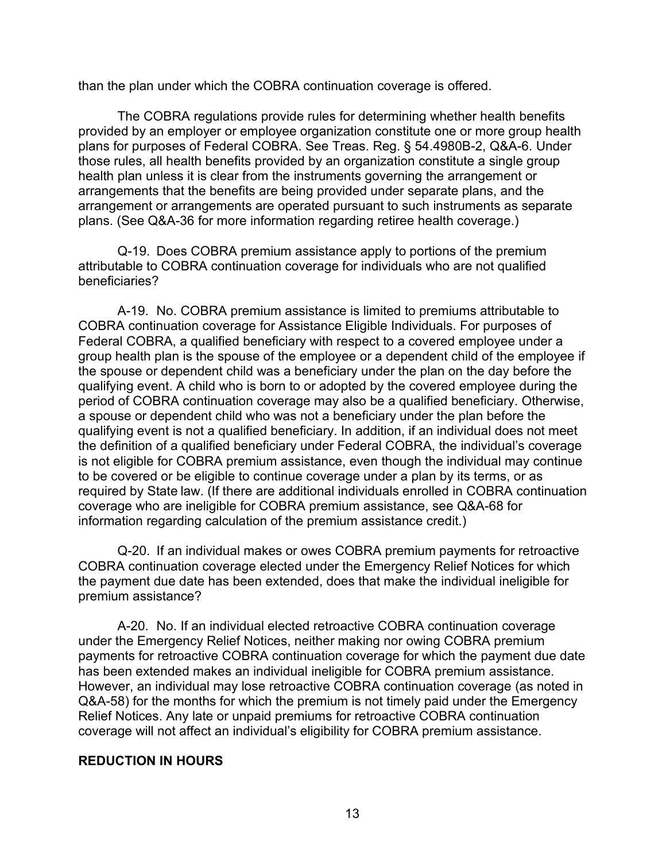than the plan under which the COBRA continuation coverage is offered.

The COBRA regulations provide rules for determining whether health benefits provided by an employer or employee organization constitute one or more group health plans for purposes of Federal COBRA. See Treas. Reg. § 54.4980B-2, Q&A-6. Under those rules, all health benefits provided by an organization constitute a single group health plan unless it is clear from the instruments governing the arrangement or arrangements that the benefits are being provided under separate plans, and the arrangement or arrangements are operated pursuant to such instruments as separate plans. (See Q&A-36 for more information regarding retiree health coverage.)

Q-19. Does COBRA premium assistance apply to portions of the premium attributable to COBRA continuation coverage for individuals who are not qualified beneficiaries?

A-19. No. COBRA premium assistance is limited to premiums attributable to COBRA continuation coverage for Assistance Eligible Individuals. For purposes of Federal COBRA, a qualified beneficiary with respect to a covered employee under a group health plan is the spouse of the employee or a dependent child of the employee if the spouse or dependent child was a beneficiary under the plan on the day before the qualifying event. A child who is born to or adopted by the covered employee during the period of COBRA continuation coverage may also be a qualified beneficiary. Otherwise, a spouse or dependent child who was not a beneficiary under the plan before the qualifying event is not a qualified beneficiary. In addition, if an individual does not meet the definition of a qualified beneficiary under Federal COBRA, the individual's coverage is not eligible for COBRA premium assistance, even though the individual may continue to be covered or be eligible to continue coverage under a plan by its terms, or as required by State law. (If there are additional individuals enrolled in COBRA continuation coverage who are ineligible for COBRA premium assistance, see Q&A-68 for information regarding calculation of the premium assistance credit.)

Q-20. If an individual makes or owes COBRA premium payments for retroactive COBRA continuation coverage elected under the Emergency Relief Notices for which the payment due date has been extended, does that make the individual ineligible for premium assistance?

A-20. No. If an individual elected retroactive COBRA continuation coverage under the Emergency Relief Notices, neither making nor owing COBRA premium payments for retroactive COBRA continuation coverage for which the payment due date has been extended makes an individual ineligible for COBRA premium assistance. However, an individual may lose retroactive COBRA continuation coverage (as noted in Q&A-58) for the months for which the premium is not timely paid under the Emergency Relief Notices. Any late or unpaid premiums for retroactive COBRA continuation coverage will not affect an individual's eligibility for COBRA premium assistance.

#### **REDUCTION IN HOURS**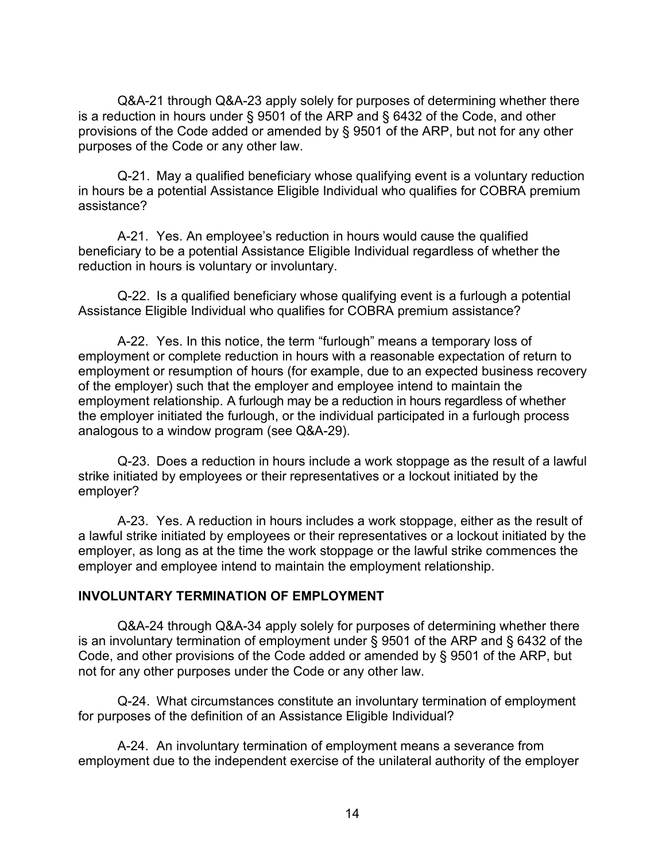Q&A-21 through Q&A-23 apply solely for purposes of determining whether there is a reduction in hours under § 9501 of the ARP and § 6432 of the Code, and other provisions of the Code added or amended by § 9501 of the ARP, but not for any other purposes of the Code or any other law.

Q-21. May a qualified beneficiary whose qualifying event is a voluntary reduction in hours be a potential Assistance Eligible Individual who qualifies for COBRA premium assistance?

A-21. Yes. An employee's reduction in hours would cause the qualified beneficiary to be a potential Assistance Eligible Individual regardless of whether the reduction in hours is voluntary or involuntary.

Q-22. Is a qualified beneficiary whose qualifying event is a furlough a potential Assistance Eligible Individual who qualifies for COBRA premium assistance?

A-22. Yes. In this notice, the term "furlough" means a temporary loss of employment or complete reduction in hours with a reasonable expectation of return to employment or resumption of hours (for example, due to an expected business recovery of the employer) such that the employer and employee intend to maintain the employment relationship. A furlough may be a reduction in hours regardless of whether the employer initiated the furlough, or the individual participated in a furlough process analogous to a window program (see Q&A-29).

Q-23. Does a reduction in hours include a work stoppage as the result of a lawful strike initiated by employees or their representatives or a lockout initiated by the employer?

A-23. Yes. A reduction in hours includes a work stoppage, either as the result of a lawful strike initiated by employees or their representatives or a lockout initiated by the employer, as long as at the time the work stoppage or the lawful strike commences the employer and employee intend to maintain the employment relationship.

### **INVOLUNTARY TERMINATION OF EMPLOYMENT**

Q&A-24 through Q&A-34 apply solely for purposes of determining whether there is an involuntary termination of employment under § 9501 of the ARP and § 6432 of the Code, and other provisions of the Code added or amended by § 9501 of the ARP, but not for any other purposes under the Code or any other law.

Q-24. What circumstances constitute an involuntary termination of employment for purposes of the definition of an Assistance Eligible Individual?

A-24. An involuntary termination of employment means a severance from employment due to the independent exercise of the unilateral authority of the employer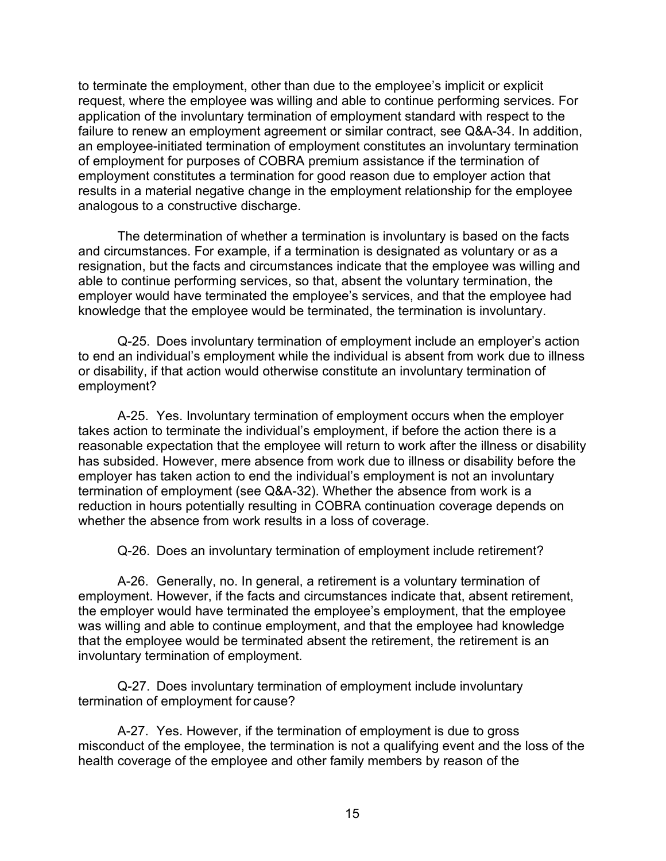to terminate the employment, other than due to the employee's implicit or explicit request, where the employee was willing and able to continue performing services. For application of the involuntary termination of employment standard with respect to the failure to renew an employment agreement or similar contract, see Q&A-34. In addition, an employee-initiated termination of employment constitutes an involuntary termination of employment for purposes of COBRA premium assistance if the termination of employment constitutes a termination for good reason due to employer action that results in a material negative change in the employment relationship for the employee analogous to a constructive discharge.

The determination of whether a termination is involuntary is based on the facts and circumstances. For example, if a termination is designated as voluntary or as a resignation, but the facts and circumstances indicate that the employee was willing and able to continue performing services, so that, absent the voluntary termination, the employer would have terminated the employee's services, and that the employee had knowledge that the employee would be terminated, the termination is involuntary.

Q-25. Does involuntary termination of employment include an employer's action to end an individual's employment while the individual is absent from work due to illness or disability, if that action would otherwise constitute an involuntary termination of employment?

A-25. Yes. Involuntary termination of employment occurs when the employer takes action to terminate the individual's employment, if before the action there is a reasonable expectation that the employee will return to work after the illness or disability has subsided. However, mere absence from work due to illness or disability before the employer has taken action to end the individual's employment is not an involuntary termination of employment (see Q&A-32). Whether the absence from work is a reduction in hours potentially resulting in COBRA continuation coverage depends on whether the absence from work results in a loss of coverage.

Q-26. Does an involuntary termination of employment include retirement?

A-26. Generally, no. In general, a retirement is a voluntary termination of employment. However, if the facts and circumstances indicate that, absent retirement, the employer would have terminated the employee's employment, that the employee was willing and able to continue employment, and that the employee had knowledge that the employee would be terminated absent the retirement, the retirement is an involuntary termination of employment.

Q-27. Does involuntary termination of employment include involuntary termination of employment for cause?

A-27. Yes. However, if the termination of employment is due to gross misconduct of the employee, the termination is not a qualifying event and the loss of the health coverage of the employee and other family members by reason of the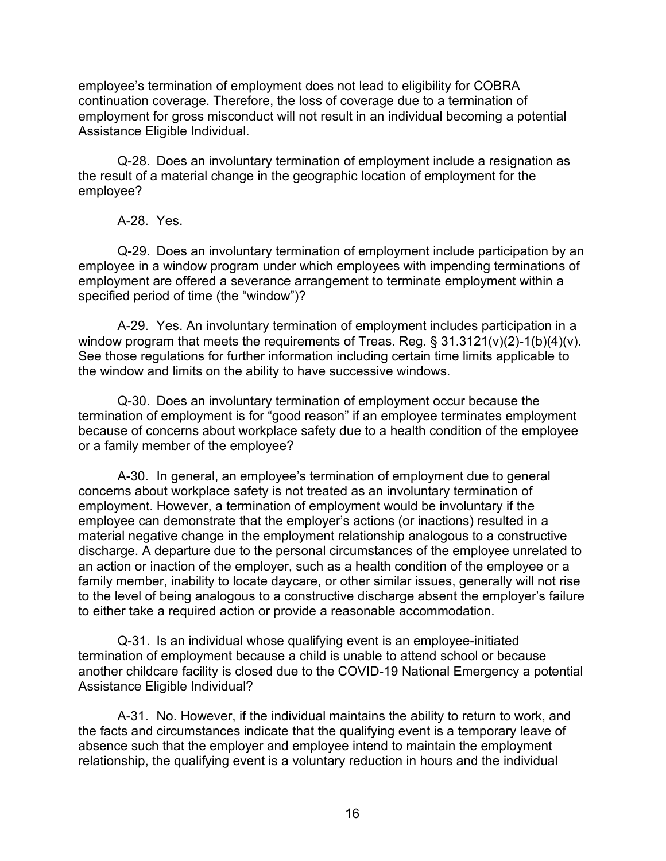employee's termination of employment does not lead to eligibility for COBRA continuation coverage. Therefore, the loss of coverage due to a termination of employment for gross misconduct will not result in an individual becoming a potential Assistance Eligible Individual.

Q-28. Does an involuntary termination of employment include a resignation as the result of a material change in the geographic location of employment for the employee?

A-28. Yes.

Q-29. Does an involuntary termination of employment include participation by an employee in a window program under which employees with impending terminations of employment are offered a severance arrangement to terminate employment within a specified period of time (the "window")?

A-29. Yes. An involuntary termination of employment includes participation in a window program that meets the requirements of Treas. Reg. §  $31.3121(v)(2)-1(b)(4)(v)$ . See those regulations for further information including certain time limits applicable to the window and limits on the ability to have successive windows.

Q-30. Does an involuntary termination of employment occur because the termination of employment is for "good reason" if an employee terminates employment because of concerns about workplace safety due to a health condition of the employee or a family member of the employee?

A-30. In general, an employee's termination of employment due to general concerns about workplace safety is not treated as an involuntary termination of employment. However, a termination of employment would be involuntary if the employee can demonstrate that the employer's actions (or inactions) resulted in a material negative change in the employment relationship analogous to a constructive discharge. A departure due to the personal circumstances of the employee unrelated to an action or inaction of the employer, such as a health condition of the employee or a family member, inability to locate daycare, or other similar issues, generally will not rise to the level of being analogous to a constructive discharge absent the employer's failure to either take a required action or provide a reasonable accommodation.

Q-31. Is an individual whose qualifying event is an employee-initiated termination of employment because a child is unable to attend school or because another childcare facility is closed due to the COVID-19 National Emergency a potential Assistance Eligible Individual?

A-31. No. However, if the individual maintains the ability to return to work, and the facts and circumstances indicate that the qualifying event is a temporary leave of absence such that the employer and employee intend to maintain the employment relationship, the qualifying event is a voluntary reduction in hours and the individual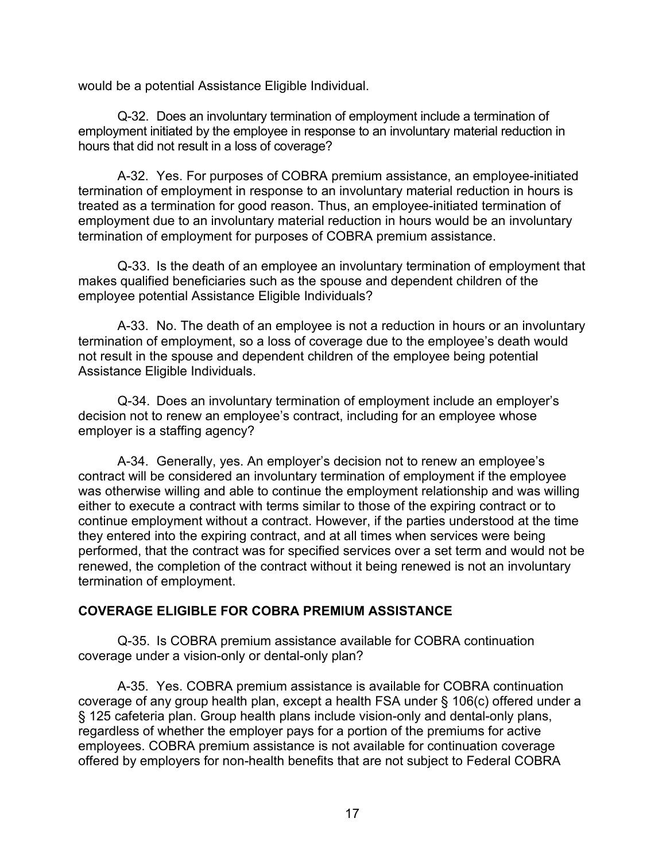would be a potential Assistance Eligible Individual.

Q-32. Does an involuntary termination of employment include a termination of employment initiated by the employee in response to an involuntary material reduction in hours that did not result in a loss of coverage?

A-32. Yes. For purposes of COBRA premium assistance, an employee-initiated termination of employment in response to an involuntary material reduction in hours is treated as a termination for good reason. Thus, an employee-initiated termination of employment due to an involuntary material reduction in hours would be an involuntary termination of employment for purposes of COBRA premium assistance.

Q-33. Is the death of an employee an involuntary termination of employment that makes qualified beneficiaries such as the spouse and dependent children of the employee potential Assistance Eligible Individuals?

A-33. No. The death of an employee is not a reduction in hours or an involuntary termination of employment, so a loss of coverage due to the employee's death would not result in the spouse and dependent children of the employee being potential Assistance Eligible Individuals.

Q-34. Does an involuntary termination of employment include an employer's decision not to renew an employee's contract, including for an employee whose employer is a staffing agency?

A-34. Generally, yes. An employer's decision not to renew an employee's contract will be considered an involuntary termination of employment if the employee was otherwise willing and able to continue the employment relationship and was willing either to execute a contract with terms similar to those of the expiring contract or to continue employment without a contract. However, if the parties understood at the time they entered into the expiring contract, and at all times when services were being performed, that the contract was for specified services over a set term and would not be renewed, the completion of the contract without it being renewed is not an involuntary termination of employment.

### **COVERAGE ELIGIBLE FOR COBRA PREMIUM ASSISTANCE**

Q-35. Is COBRA premium assistance available for COBRA continuation coverage under a vision-only or dental-only plan?

A-35. Yes. COBRA premium assistance is available for COBRA continuation coverage of any group health plan, except a health FSA under § 106(c) offered under a § 125 cafeteria plan. Group health plans include vision-only and dental-only plans, regardless of whether the employer pays for a portion of the premiums for active employees. COBRA premium assistance is not available for continuation coverage offered by employers for non-health benefits that are not subject to Federal COBRA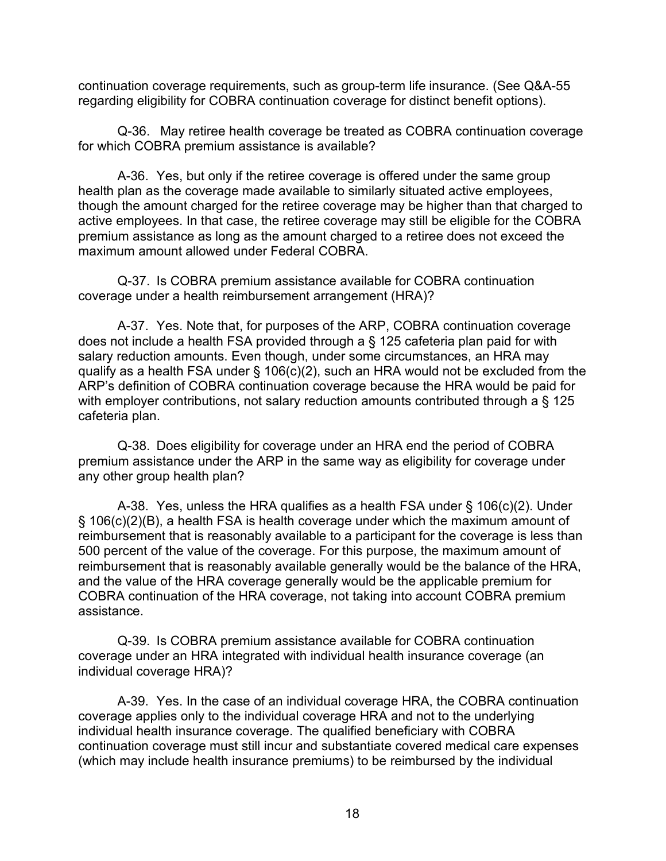continuation coverage requirements, such as group-term life insurance. (See Q&A-55 regarding eligibility for COBRA continuation coverage for distinct benefit options).

Q-36. May retiree health coverage be treated as COBRA continuation coverage for which COBRA premium assistance is available?

A-36. Yes, but only if the retiree coverage is offered under the same group health plan as the coverage made available to similarly situated active employees, though the amount charged for the retiree coverage may be higher than that charged to active employees. In that case, the retiree coverage may still be eligible for the COBRA premium assistance as long as the amount charged to a retiree does not exceed the maximum amount allowed under Federal COBRA.

Q-37. Is COBRA premium assistance available for COBRA continuation coverage under a health reimbursement arrangement (HRA)?

A-37. Yes. Note that, for purposes of the ARP, COBRA continuation coverage does not include a health FSA provided through a § 125 cafeteria plan paid for with salary reduction amounts. Even though, under some circumstances, an HRA may qualify as a health FSA under § 106(c)(2), such an HRA would not be excluded from the ARP's definition of COBRA continuation coverage because the HRA would be paid for with employer contributions, not salary reduction amounts contributed through a § 125 cafeteria plan.

Q-38. Does eligibility for coverage under an HRA end the period of COBRA premium assistance under the ARP in the same way as eligibility for coverage under any other group health plan?

A-38. Yes, unless the HRA qualifies as a health FSA under § 106(c)(2). Under § 106(c)(2)(B), a health FSA is health coverage under which the maximum amount of reimbursement that is reasonably available to a participant for the coverage is less than 500 percent of the value of the coverage. For this purpose, the maximum amount of reimbursement that is reasonably available generally would be the balance of the HRA, and the value of the HRA coverage generally would be the applicable premium for COBRA continuation of the HRA coverage, not taking into account COBRA premium assistance.

Q-39. Is COBRA premium assistance available for COBRA continuation coverage under an HRA integrated with individual health insurance coverage (an individual coverage HRA)?

A-39. Yes. In the case of an individual coverage HRA, the COBRA continuation coverage applies only to the individual coverage HRA and not to the underlying individual health insurance coverage. The qualified beneficiary with COBRA continuation coverage must still incur and substantiate covered medical care expenses (which may include health insurance premiums) to be reimbursed by the individual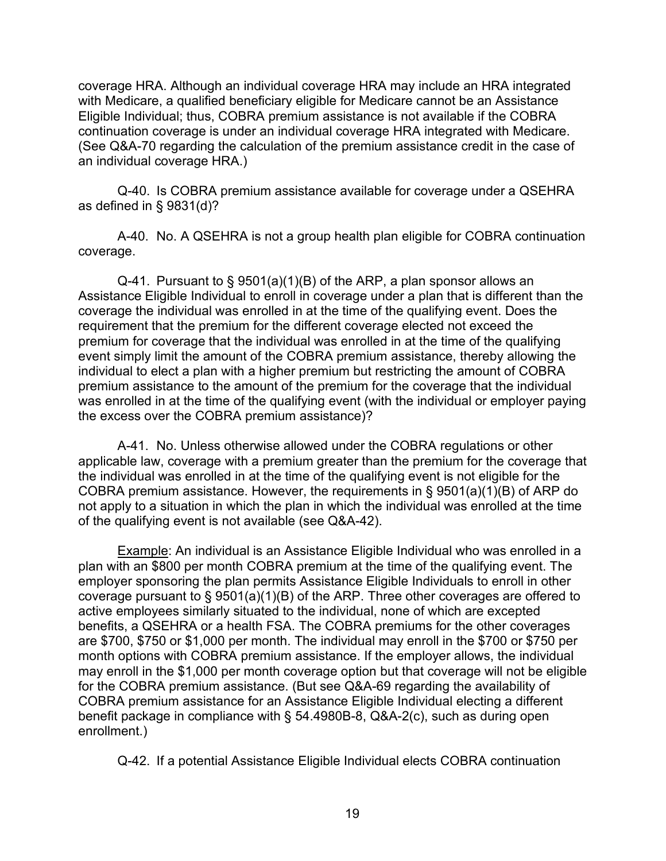coverage HRA. Although an individual coverage HRA may include an HRA integrated with Medicare, a qualified beneficiary eligible for Medicare cannot be an Assistance Eligible Individual; thus, COBRA premium assistance is not available if the COBRA continuation coverage is under an individual coverage HRA integrated with Medicare. (See Q&A-70 regarding the calculation of the premium assistance credit in the case of an individual coverage HRA.)

Q-40. Is COBRA premium assistance available for coverage under a QSEHRA as defined in § 9831(d)?

A-40. No. A QSEHRA is not a group health plan eligible for COBRA continuation coverage.

Q-41. Pursuant to § 9501(a)(1)(B) of the ARP, a plan sponsor allows an Assistance Eligible Individual to enroll in coverage under a plan that is different than the coverage the individual was enrolled in at the time of the qualifying event. Does the requirement that the premium for the different coverage elected not exceed the premium for coverage that the individual was enrolled in at the time of the qualifying event simply limit the amount of the COBRA premium assistance, thereby allowing the individual to elect a plan with a higher premium but restricting the amount of COBRA premium assistance to the amount of the premium for the coverage that the individual was enrolled in at the time of the qualifying event (with the individual or employer paying the excess over the COBRA premium assistance)?

A-41. No. Unless otherwise allowed under the COBRA regulations or other applicable law, coverage with a premium greater than the premium for the coverage that the individual was enrolled in at the time of the qualifying event is not eligible for the COBRA premium assistance. However, the requirements in § 9501(a)(1)(B) of ARP do not apply to a situation in which the plan in which the individual was enrolled at the time of the qualifying event is not available (see Q&A-42).

Example: An individual is an Assistance Eligible Individual who was enrolled in a plan with an \$800 per month COBRA premium at the time of the qualifying event. The employer sponsoring the plan permits Assistance Eligible Individuals to enroll in other coverage pursuant to § 9501(a)(1)(B) of the ARP. Three other coverages are offered to active employees similarly situated to the individual, none of which are excepted benefits, a QSEHRA or a health FSA. The COBRA premiums for the other coverages are \$700, \$750 or \$1,000 per month. The individual may enroll in the \$700 or \$750 per month options with COBRA premium assistance. If the employer allows, the individual may enroll in the \$1,000 per month coverage option but that coverage will not be eligible for the COBRA premium assistance. (But see Q&A-69 regarding the availability of COBRA premium assistance for an Assistance Eligible Individual electing a different benefit package in compliance with § 54.4980B-8, Q&A-2(c), such as during open enrollment.)

Q-42. If a potential Assistance Eligible Individual elects COBRA continuation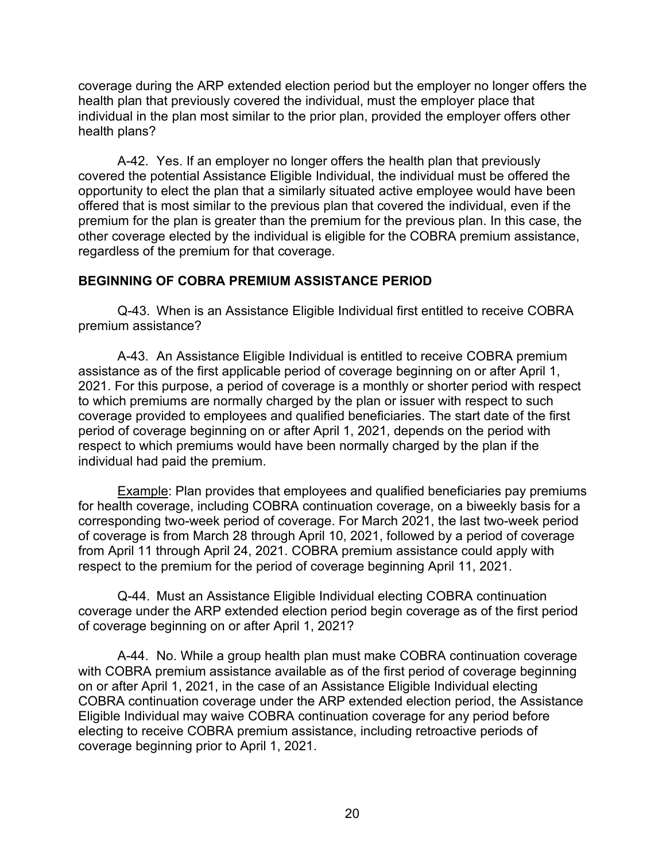coverage during the ARP extended election period but the employer no longer offers the health plan that previously covered the individual, must the employer place that individual in the plan most similar to the prior plan, provided the employer offers other health plans?

A-42. Yes. If an employer no longer offers the health plan that previously covered the potential Assistance Eligible Individual, the individual must be offered the opportunity to elect the plan that a similarly situated active employee would have been offered that is most similar to the previous plan that covered the individual, even if the premium for the plan is greater than the premium for the previous plan. In this case, the other coverage elected by the individual is eligible for the COBRA premium assistance, regardless of the premium for that coverage.

### **BEGINNING OF COBRA PREMIUM ASSISTANCE PERIOD**

Q-43. When is an Assistance Eligible Individual first entitled to receive COBRA premium assistance?

A-43. An Assistance Eligible Individual is entitled to receive COBRA premium assistance as of the first applicable period of coverage beginning on or after April 1, 2021. For this purpose, a period of coverage is a monthly or shorter period with respect to which premiums are normally charged by the plan or issuer with respect to such coverage provided to employees and qualified beneficiaries. The start date of the first period of coverage beginning on or after April 1, 2021, depends on the period with respect to which premiums would have been normally charged by the plan if the individual had paid the premium.

Example: Plan provides that employees and qualified beneficiaries pay premiums for health coverage, including COBRA continuation coverage, on a biweekly basis for a corresponding two-week period of coverage. For March 2021, the last two-week period of coverage is from March 28 through April 10, 2021, followed by a period of coverage from April 11 through April 24, 2021. COBRA premium assistance could apply with respect to the premium for the period of coverage beginning April 11, 2021.

Q-44. Must an Assistance Eligible Individual electing COBRA continuation coverage under the ARP extended election period begin coverage as of the first period of coverage beginning on or after April 1, 2021?

A-44. No. While a group health plan must make COBRA continuation coverage with COBRA premium assistance available as of the first period of coverage beginning on or after April 1, 2021, in the case of an Assistance Eligible Individual electing COBRA continuation coverage under the ARP extended election period, the Assistance Eligible Individual may waive COBRA continuation coverage for any period before electing to receive COBRA premium assistance, including retroactive periods of coverage beginning prior to April 1, 2021.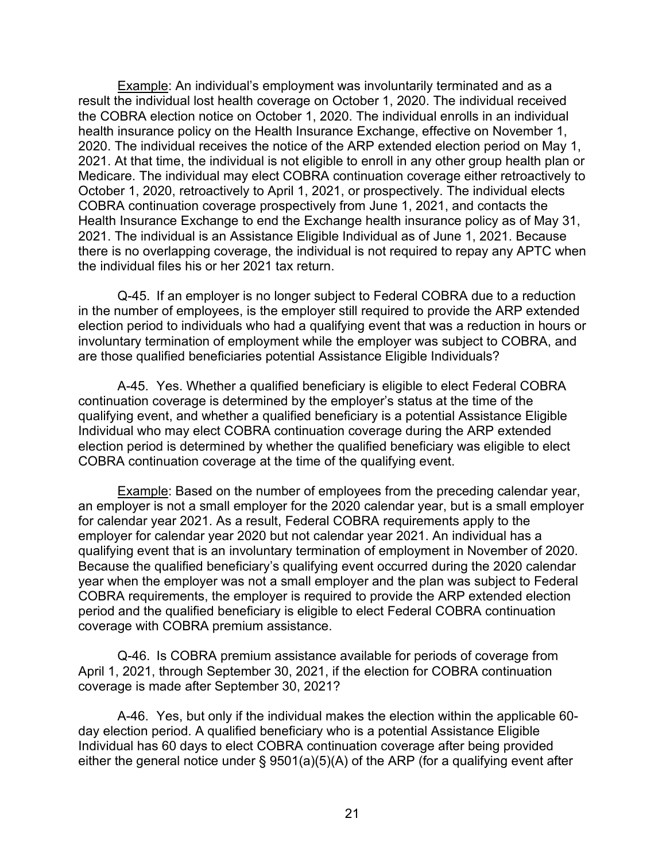Example: An individual's employment was involuntarily terminated and as a result the individual lost health coverage on October 1, 2020. The individual received the COBRA election notice on October 1, 2020. The individual enrolls in an individual health insurance policy on the Health Insurance Exchange, effective on November 1, 2020. The individual receives the notice of the ARP extended election period on May 1, 2021. At that time, the individual is not eligible to enroll in any other group health plan or Medicare. The individual may elect COBRA continuation coverage either retroactively to October 1, 2020, retroactively to April 1, 2021, or prospectively. The individual elects COBRA continuation coverage prospectively from June 1, 2021, and contacts the Health Insurance Exchange to end the Exchange health insurance policy as of May 31, 2021. The individual is an Assistance Eligible Individual as of June 1, 2021. Because there is no overlapping coverage, the individual is not required to repay any APTC when the individual files his or her 2021 tax return.

Q-45. If an employer is no longer subject to Federal COBRA due to a reduction in the number of employees, is the employer still required to provide the ARP extended election period to individuals who had a qualifying event that was a reduction in hours or involuntary termination of employment while the employer was subject to COBRA, and are those qualified beneficiaries potential Assistance Eligible Individuals?

A-45. Yes. Whether a qualified beneficiary is eligible to elect Federal COBRA continuation coverage is determined by the employer's status at the time of the qualifying event, and whether a qualified beneficiary is a potential Assistance Eligible Individual who may elect COBRA continuation coverage during the ARP extended election period is determined by whether the qualified beneficiary was eligible to elect COBRA continuation coverage at the time of the qualifying event.

Example: Based on the number of employees from the preceding calendar year, an employer is not a small employer for the 2020 calendar year, but is a small employer for calendar year 2021. As a result, Federal COBRA requirements apply to the employer for calendar year 2020 but not calendar year 2021. An individual has a qualifying event that is an involuntary termination of employment in November of 2020. Because the qualified beneficiary's qualifying event occurred during the 2020 calendar year when the employer was not a small employer and the plan was subject to Federal COBRA requirements, the employer is required to provide the ARP extended election period and the qualified beneficiary is eligible to elect Federal COBRA continuation coverage with COBRA premium assistance.

Q-46. Is COBRA premium assistance available for periods of coverage from April 1, 2021, through September 30, 2021, if the election for COBRA continuation coverage is made after September 30, 2021?

A-46. Yes, but only if the individual makes the election within the applicable 60 day election period. A qualified beneficiary who is a potential Assistance Eligible Individual has 60 days to elect COBRA continuation coverage after being provided either the general notice under § 9501(a)(5)(A) of the ARP (for a qualifying event after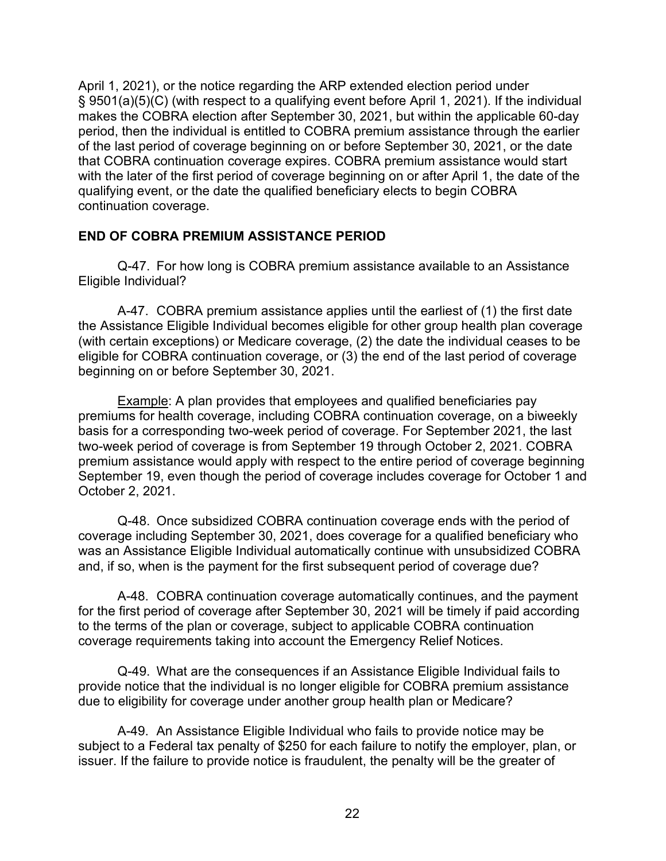April 1, 2021), or the notice regarding the ARP extended election period under § 9501(a)(5)(C) (with respect to a qualifying event before April 1, 2021). If the individual makes the COBRA election after September 30, 2021, but within the applicable 60-day period, then the individual is entitled to COBRA premium assistance through the earlier of the last period of coverage beginning on or before September 30, 2021, or the date that COBRA continuation coverage expires. COBRA premium assistance would start with the later of the first period of coverage beginning on or after April 1, the date of the qualifying event, or the date the qualified beneficiary elects to begin COBRA continuation coverage.

#### **END OF COBRA PREMIUM ASSISTANCE PERIOD**

Q-47. For how long is COBRA premium assistance available to an Assistance Eligible Individual?

A-47. COBRA premium assistance applies until the earliest of (1) the first date the Assistance Eligible Individual becomes eligible for other group health plan coverage (with certain exceptions) or Medicare coverage, (2) the date the individual ceases to be eligible for COBRA continuation coverage, or (3) the end of the last period of coverage beginning on or before September 30, 2021.

Example: A plan provides that employees and qualified beneficiaries pay premiums for health coverage, including COBRA continuation coverage, on a biweekly basis for a corresponding two-week period of coverage. For September 2021, the last two-week period of coverage is from September 19 through October 2, 2021. COBRA premium assistance would apply with respect to the entire period of coverage beginning September 19, even though the period of coverage includes coverage for October 1 and October 2, 2021.

Q-48. Once subsidized COBRA continuation coverage ends with the period of coverage including September 30, 2021, does coverage for a qualified beneficiary who was an Assistance Eligible Individual automatically continue with unsubsidized COBRA and, if so, when is the payment for the first subsequent period of coverage due?

A-48. COBRA continuation coverage automatically continues, and the payment for the first period of coverage after September 30, 2021 will be timely if paid according to the terms of the plan or coverage, subject to applicable COBRA continuation coverage requirements taking into account the Emergency Relief Notices.

Q-49. What are the consequences if an Assistance Eligible Individual fails to provide notice that the individual is no longer eligible for COBRA premium assistance due to eligibility for coverage under another group health plan or Medicare?

A-49. An Assistance Eligible Individual who fails to provide notice may be subject to a Federal tax penalty of \$250 for each failure to notify the employer, plan, or issuer. If the failure to provide notice is fraudulent, the penalty will be the greater of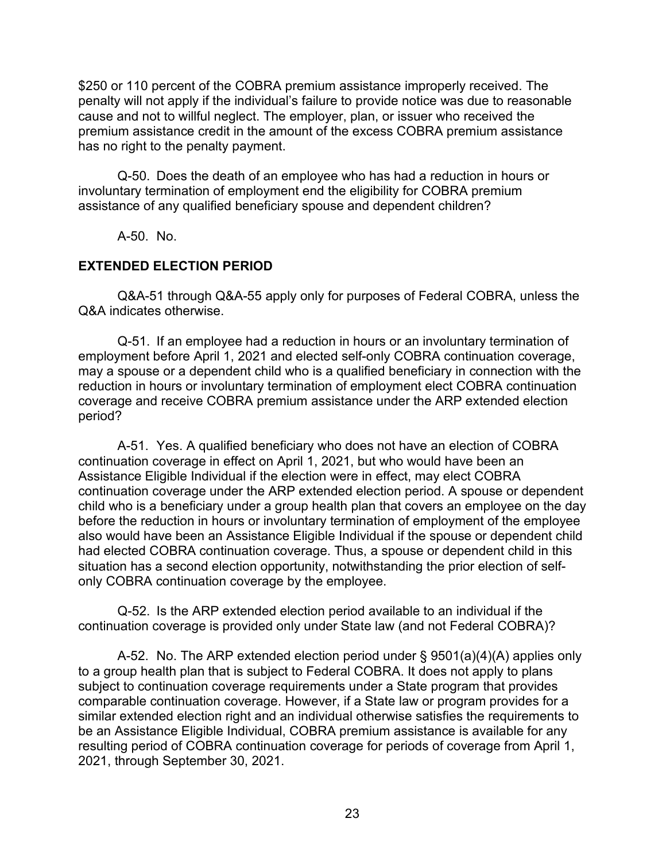\$250 or 110 percent of the COBRA premium assistance improperly received. The penalty will not apply if the individual's failure to provide notice was due to reasonable cause and not to willful neglect. The employer, plan, or issuer who received the premium assistance credit in the amount of the excess COBRA premium assistance has no right to the penalty payment.

Q-50. Does the death of an employee who has had a reduction in hours or involuntary termination of employment end the eligibility for COBRA premium assistance of any qualified beneficiary spouse and dependent children?

A-50. No.

## **EXTENDED ELECTION PERIOD**

Q&A-51 through Q&A-55 apply only for purposes of Federal COBRA, unless the Q&A indicates otherwise.

Q-51. If an employee had a reduction in hours or an involuntary termination of employment before April 1, 2021 and elected self-only COBRA continuation coverage, may a spouse or a dependent child who is a qualified beneficiary in connection with the reduction in hours or involuntary termination of employment elect COBRA continuation coverage and receive COBRA premium assistance under the ARP extended election period?

A-51. Yes. A qualified beneficiary who does not have an election of COBRA continuation coverage in effect on April 1, 2021, but who would have been an Assistance Eligible Individual if the election were in effect, may elect COBRA continuation coverage under the ARP extended election period. A spouse or dependent child who is a beneficiary under a group health plan that covers an employee on the day before the reduction in hours or involuntary termination of employment of the employee also would have been an Assistance Eligible Individual if the spouse or dependent child had elected COBRA continuation coverage. Thus, a spouse or dependent child in this situation has a second election opportunity, notwithstanding the prior election of selfonly COBRA continuation coverage by the employee.

Q-52. Is the ARP extended election period available to an individual if the continuation coverage is provided only under State law (and not Federal COBRA)?

A-52. No. The ARP extended election period under § 9501(a)(4)(A) applies only to a group health plan that is subject to Federal COBRA. It does not apply to plans subject to continuation coverage requirements under a State program that provides comparable continuation coverage. However, if a State law or program provides for a similar extended election right and an individual otherwise satisfies the requirements to be an Assistance Eligible Individual, COBRA premium assistance is available for any resulting period of COBRA continuation coverage for periods of coverage from April 1, 2021, through September 30, 2021.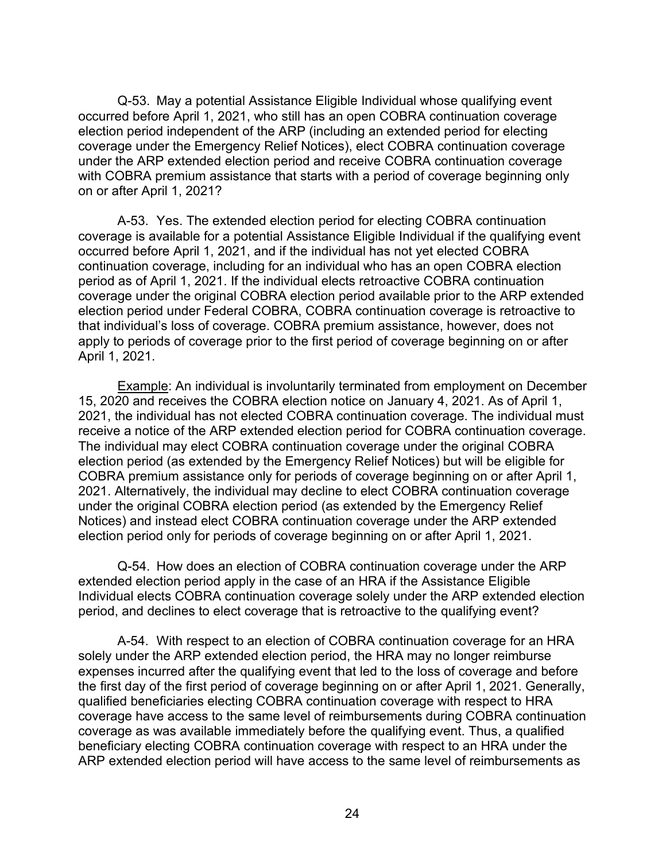Q-53. May a potential Assistance Eligible Individual whose qualifying event occurred before April 1, 2021, who still has an open COBRA continuation coverage election period independent of the ARP (including an extended period for electing coverage under the Emergency Relief Notices), elect COBRA continuation coverage under the ARP extended election period and receive COBRA continuation coverage with COBRA premium assistance that starts with a period of coverage beginning only on or after April 1, 2021?

A-53. Yes. The extended election period for electing COBRA continuation coverage is available for a potential Assistance Eligible Individual if the qualifying event occurred before April 1, 2021, and if the individual has not yet elected COBRA continuation coverage, including for an individual who has an open COBRA election period as of April 1, 2021. If the individual elects retroactive COBRA continuation coverage under the original COBRA election period available prior to the ARP extended election period under Federal COBRA, COBRA continuation coverage is retroactive to that individual's loss of coverage. COBRA premium assistance, however, does not apply to periods of coverage prior to the first period of coverage beginning on or after April 1, 2021.

Example: An individual is involuntarily terminated from employment on December 15, 2020 and receives the COBRA election notice on January 4, 2021. As of April 1, 2021, the individual has not elected COBRA continuation coverage. The individual must receive a notice of the ARP extended election period for COBRA continuation coverage. The individual may elect COBRA continuation coverage under the original COBRA election period (as extended by the Emergency Relief Notices) but will be eligible for COBRA premium assistance only for periods of coverage beginning on or after April 1, 2021. Alternatively, the individual may decline to elect COBRA continuation coverage under the original COBRA election period (as extended by the Emergency Relief Notices) and instead elect COBRA continuation coverage under the ARP extended election period only for periods of coverage beginning on or after April 1, 2021.

Q-54. How does an election of COBRA continuation coverage under the ARP extended election period apply in the case of an HRA if the Assistance Eligible Individual elects COBRA continuation coverage solely under the ARP extended election period, and declines to elect coverage that is retroactive to the qualifying event?

A-54. With respect to an election of COBRA continuation coverage for an HRA solely under the ARP extended election period, the HRA may no longer reimburse expenses incurred after the qualifying event that led to the loss of coverage and before the first day of the first period of coverage beginning on or after April 1, 2021. Generally, qualified beneficiaries electing COBRA continuation coverage with respect to HRA coverage have access to the same level of reimbursements during COBRA continuation coverage as was available immediately before the qualifying event. Thus, a qualified beneficiary electing COBRA continuation coverage with respect to an HRA under the ARP extended election period will have access to the same level of reimbursements as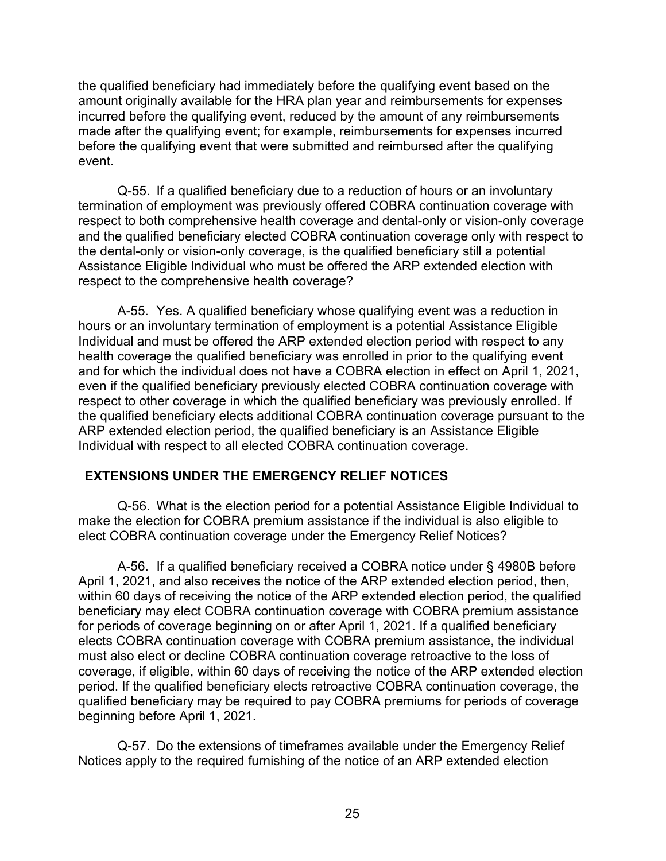the qualified beneficiary had immediately before the qualifying event based on the amount originally available for the HRA plan year and reimbursements for expenses incurred before the qualifying event, reduced by the amount of any reimbursements made after the qualifying event; for example, reimbursements for expenses incurred before the qualifying event that were submitted and reimbursed after the qualifying event.

Q-55. If a qualified beneficiary due to a reduction of hours or an involuntary termination of employment was previously offered COBRA continuation coverage with respect to both comprehensive health coverage and dental-only or vision-only coverage and the qualified beneficiary elected COBRA continuation coverage only with respect to the dental-only or vision-only coverage, is the qualified beneficiary still a potential Assistance Eligible Individual who must be offered the ARP extended election with respect to the comprehensive health coverage?

A-55. Yes. A qualified beneficiary whose qualifying event was a reduction in hours or an involuntary termination of employment is a potential Assistance Eligible Individual and must be offered the ARP extended election period with respect to any health coverage the qualified beneficiary was enrolled in prior to the qualifying event and for which the individual does not have a COBRA election in effect on April 1, 2021, even if the qualified beneficiary previously elected COBRA continuation coverage with respect to other coverage in which the qualified beneficiary was previously enrolled. If the qualified beneficiary elects additional COBRA continuation coverage pursuant to the ARP extended election period, the qualified beneficiary is an Assistance Eligible Individual with respect to all elected COBRA continuation coverage.

#### **EXTENSIONS UNDER THE EMERGENCY RELIEF NOTICES**

Q-56. What is the election period for a potential Assistance Eligible Individual to make the election for COBRA premium assistance if the individual is also eligible to elect COBRA continuation coverage under the Emergency Relief Notices?

A-56. If a qualified beneficiary received a COBRA notice under § 4980B before April 1, 2021, and also receives the notice of the ARP extended election period, then, within 60 days of receiving the notice of the ARP extended election period, the qualified beneficiary may elect COBRA continuation coverage with COBRA premium assistance for periods of coverage beginning on or after April 1, 2021. If a qualified beneficiary elects COBRA continuation coverage with COBRA premium assistance, the individual must also elect or decline COBRA continuation coverage retroactive to the loss of coverage, if eligible, within 60 days of receiving the notice of the ARP extended election period. If the qualified beneficiary elects retroactive COBRA continuation coverage, the qualified beneficiary may be required to pay COBRA premiums for periods of coverage beginning before April 1, 2021.

Q-57. Do the extensions of timeframes available under the Emergency Relief Notices apply to the required furnishing of the notice of an ARP extended election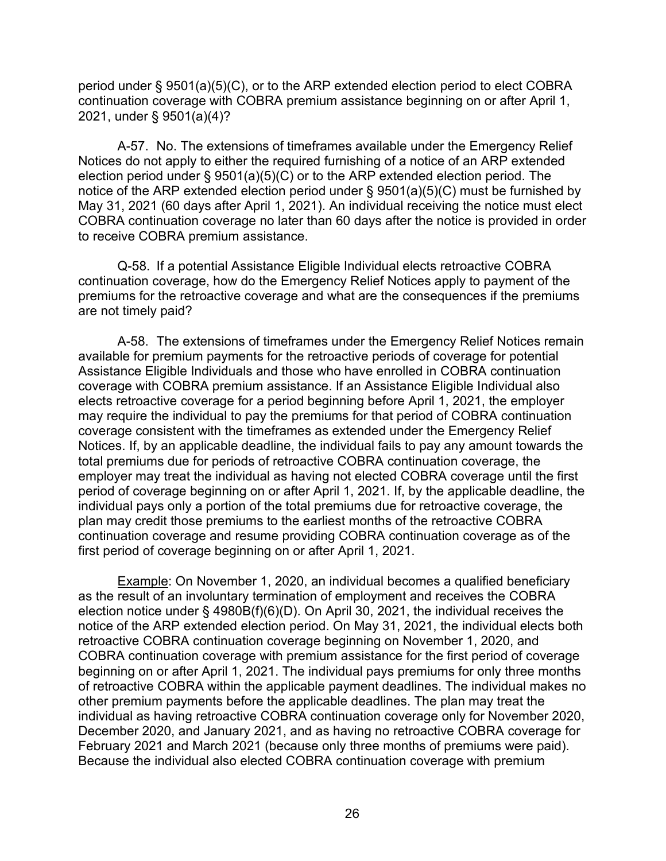period under § 9501(a)(5)(C), or to the ARP extended election period to elect COBRA continuation coverage with COBRA premium assistance beginning on or after April 1, 2021, under § 9501(a)(4)?

A-57. No. The extensions of timeframes available under the Emergency Relief Notices do not apply to either the required furnishing of a notice of an ARP extended election period under § 9501(a)(5)(C) or to the ARP extended election period. The notice of the ARP extended election period under § 9501(a)(5)(C) must be furnished by May 31, 2021 (60 days after April 1, 2021). An individual receiving the notice must elect COBRA continuation coverage no later than 60 days after the notice is provided in order to receive COBRA premium assistance.

Q-58. If a potential Assistance Eligible Individual elects retroactive COBRA continuation coverage, how do the Emergency Relief Notices apply to payment of the premiums for the retroactive coverage and what are the consequences if the premiums are not timely paid?

A-58. The extensions of timeframes under the Emergency Relief Notices remain available for premium payments for the retroactive periods of coverage for potential Assistance Eligible Individuals and those who have enrolled in COBRA continuation coverage with COBRA premium assistance. If an Assistance Eligible Individual also elects retroactive coverage for a period beginning before April 1, 2021, the employer may require the individual to pay the premiums for that period of COBRA continuation coverage consistent with the timeframes as extended under the Emergency Relief Notices. If, by an applicable deadline, the individual fails to pay any amount towards the total premiums due for periods of retroactive COBRA continuation coverage, the employer may treat the individual as having not elected COBRA coverage until the first period of coverage beginning on or after April 1, 2021. If, by the applicable deadline, the individual pays only a portion of the total premiums due for retroactive coverage, the plan may credit those premiums to the earliest months of the retroactive COBRA continuation coverage and resume providing COBRA continuation coverage as of the first period of coverage beginning on or after April 1, 2021.

Example: On November 1, 2020, an individual becomes a qualified beneficiary as the result of an involuntary termination of employment and receives the COBRA election notice under § 4980B(f)(6)(D). On April 30, 2021, the individual receives the notice of the ARP extended election period. On May 31, 2021, the individual elects both retroactive COBRA continuation coverage beginning on November 1, 2020, and COBRA continuation coverage with premium assistance for the first period of coverage beginning on or after April 1, 2021. The individual pays premiums for only three months of retroactive COBRA within the applicable payment deadlines. The individual makes no other premium payments before the applicable deadlines. The plan may treat the individual as having retroactive COBRA continuation coverage only for November 2020, December 2020, and January 2021, and as having no retroactive COBRA coverage for February 2021 and March 2021 (because only three months of premiums were paid). Because the individual also elected COBRA continuation coverage with premium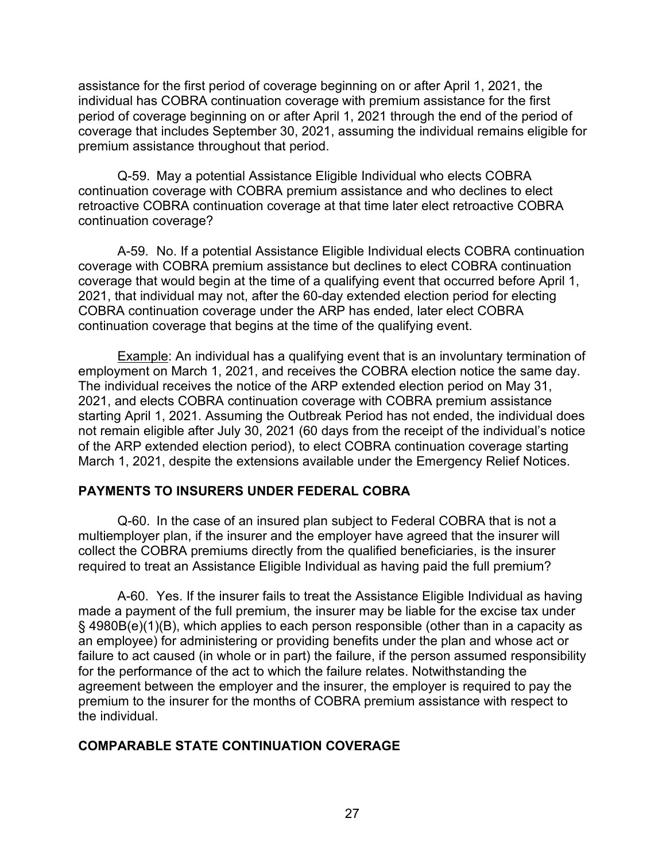assistance for the first period of coverage beginning on or after April 1, 2021, the individual has COBRA continuation coverage with premium assistance for the first period of coverage beginning on or after April 1, 2021 through the end of the period of coverage that includes September 30, 2021, assuming the individual remains eligible for premium assistance throughout that period.

Q-59. May a potential Assistance Eligible Individual who elects COBRA continuation coverage with COBRA premium assistance and who declines to elect retroactive COBRA continuation coverage at that time later elect retroactive COBRA continuation coverage?

A-59. No. If a potential Assistance Eligible Individual elects COBRA continuation coverage with COBRA premium assistance but declines to elect COBRA continuation coverage that would begin at the time of a qualifying event that occurred before April 1, 2021, that individual may not, after the 60-day extended election period for electing COBRA continuation coverage under the ARP has ended, later elect COBRA continuation coverage that begins at the time of the qualifying event.

Example: An individual has a qualifying event that is an involuntary termination of employment on March 1, 2021, and receives the COBRA election notice the same day. The individual receives the notice of the ARP extended election period on May 31, 2021, and elects COBRA continuation coverage with COBRA premium assistance starting April 1, 2021. Assuming the Outbreak Period has not ended, the individual does not remain eligible after July 30, 2021 (60 days from the receipt of the individual's notice of the ARP extended election period), to elect COBRA continuation coverage starting March 1, 2021, despite the extensions available under the Emergency Relief Notices.

#### **PAYMENTS TO INSURERS UNDER FEDERAL COBRA**

Q-60. In the case of an insured plan subject to Federal COBRA that is not a multiemployer plan, if the insurer and the employer have agreed that the insurer will collect the COBRA premiums directly from the qualified beneficiaries, is the insurer required to treat an Assistance Eligible Individual as having paid the full premium?

A-60. Yes. If the insurer fails to treat the Assistance Eligible Individual as having made a payment of the full premium, the insurer may be liable for the excise tax under § 4980B(e)(1)(B), which applies to each person responsible (other than in a capacity as an employee) for administering or providing benefits under the plan and whose act or failure to act caused (in whole or in part) the failure, if the person assumed responsibility for the performance of the act to which the failure relates. Notwithstanding the agreement between the employer and the insurer, the employer is required to pay the premium to the insurer for the months of COBRA premium assistance with respect to the individual.

### **COMPARABLE STATE CONTINUATION COVERAGE**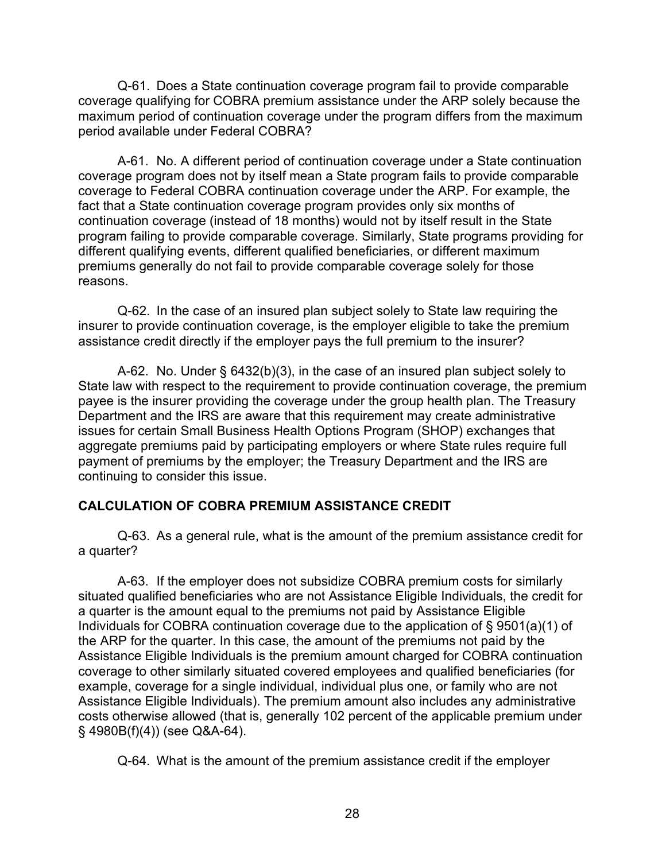Q-61. Does a State continuation coverage program fail to provide comparable coverage qualifying for COBRA premium assistance under the ARP solely because the maximum period of continuation coverage under the program differs from the maximum period available under Federal COBRA?

A-61. No. A different period of continuation coverage under a State continuation coverage program does not by itself mean a State program fails to provide comparable coverage to Federal COBRA continuation coverage under the ARP. For example, the fact that a State continuation coverage program provides only six months of continuation coverage (instead of 18 months) would not by itself result in the State program failing to provide comparable coverage. Similarly, State programs providing for different qualifying events, different qualified beneficiaries, or different maximum premiums generally do not fail to provide comparable coverage solely for those reasons.

Q-62. In the case of an insured plan subject solely to State law requiring the insurer to provide continuation coverage, is the employer eligible to take the premium assistance credit directly if the employer pays the full premium to the insurer?

A-62. No. Under § 6432(b)(3), in the case of an insured plan subject solely to State law with respect to the requirement to provide continuation coverage, the premium payee is the insurer providing the coverage under the group health plan. The Treasury Department and the IRS are aware that this requirement may create administrative issues for certain Small Business Health Options Program (SHOP) exchanges that aggregate premiums paid by participating employers or where State rules require full payment of premiums by the employer; the Treasury Department and the IRS are continuing to consider this issue.

### **CALCULATION OF COBRA PREMIUM ASSISTANCE CREDIT**

Q-63. As a general rule, what is the amount of the premium assistance credit for a quarter?

A-63. If the employer does not subsidize COBRA premium costs for similarly situated qualified beneficiaries who are not Assistance Eligible Individuals, the credit for a quarter is the amount equal to the premiums not paid by Assistance Eligible Individuals for COBRA continuation coverage due to the application of § 9501(a)(1) of the ARP for the quarter. In this case, the amount of the premiums not paid by the Assistance Eligible Individuals is the premium amount charged for COBRA continuation coverage to other similarly situated covered employees and qualified beneficiaries (for example, coverage for a single individual, individual plus one, or family who are not Assistance Eligible Individuals). The premium amount also includes any administrative costs otherwise allowed (that is, generally 102 percent of the applicable premium under § 4980B(f)(4)) (see Q&A-64).

Q-64. What is the amount of the premium assistance credit if the employer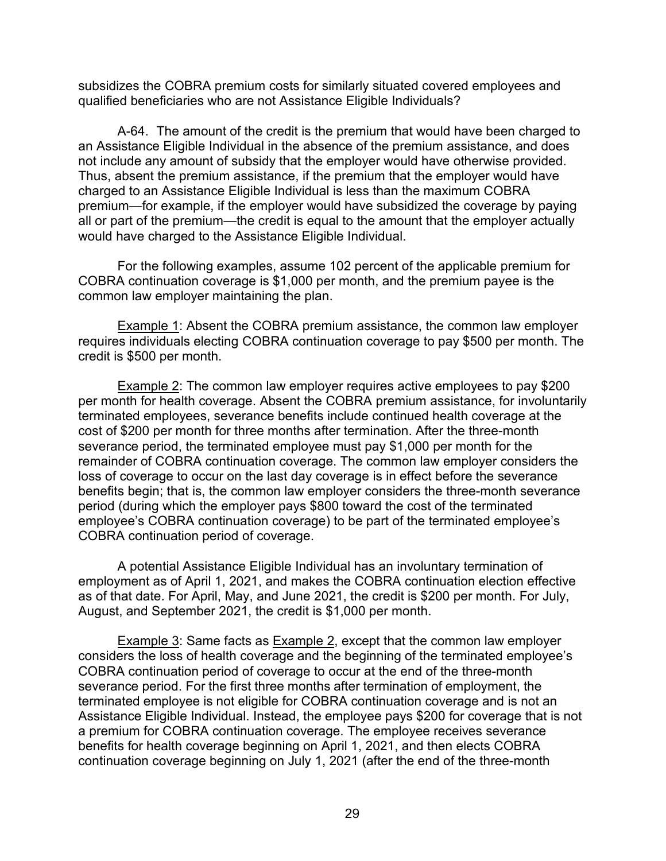subsidizes the COBRA premium costs for similarly situated covered employees and qualified beneficiaries who are not Assistance Eligible Individuals?

A-64. The amount of the credit is the premium that would have been charged to an Assistance Eligible Individual in the absence of the premium assistance, and does not include any amount of subsidy that the employer would have otherwise provided. Thus, absent the premium assistance, if the premium that the employer would have charged to an Assistance Eligible Individual is less than the maximum COBRA premium—for example, if the employer would have subsidized the coverage by paying all or part of the premium—the credit is equal to the amount that the employer actually would have charged to the Assistance Eligible Individual.

For the following examples, assume 102 percent of the applicable premium for COBRA continuation coverage is \$1,000 per month, and the premium payee is the common law employer maintaining the plan.

Example 1: Absent the COBRA premium assistance, the common law employer requires individuals electing COBRA continuation coverage to pay \$500 per month. The credit is \$500 per month.

Example 2: The common law employer requires active employees to pay \$200 per month for health coverage. Absent the COBRA premium assistance, for involuntarily terminated employees, severance benefits include continued health coverage at the cost of \$200 per month for three months after termination. After the three-month severance period, the terminated employee must pay \$1,000 per month for the remainder of COBRA continuation coverage. The common law employer considers the loss of coverage to occur on the last day coverage is in effect before the severance benefits begin; that is, the common law employer considers the three-month severance period (during which the employer pays \$800 toward the cost of the terminated employee's COBRA continuation coverage) to be part of the terminated employee's COBRA continuation period of coverage.

A potential Assistance Eligible Individual has an involuntary termination of employment as of April 1, 2021, and makes the COBRA continuation election effective as of that date. For April, May, and June 2021, the credit is \$200 per month. For July, August, and September 2021, the credit is \$1,000 per month.

Example 3: Same facts as Example 2, except that the common law employer considers the loss of health coverage and the beginning of the terminated employee's COBRA continuation period of coverage to occur at the end of the three-month severance period. For the first three months after termination of employment, the terminated employee is not eligible for COBRA continuation coverage and is not an Assistance Eligible Individual. Instead, the employee pays \$200 for coverage that is not a premium for COBRA continuation coverage. The employee receives severance benefits for health coverage beginning on April 1, 2021, and then elects COBRA continuation coverage beginning on July 1, 2021 (after the end of the three-month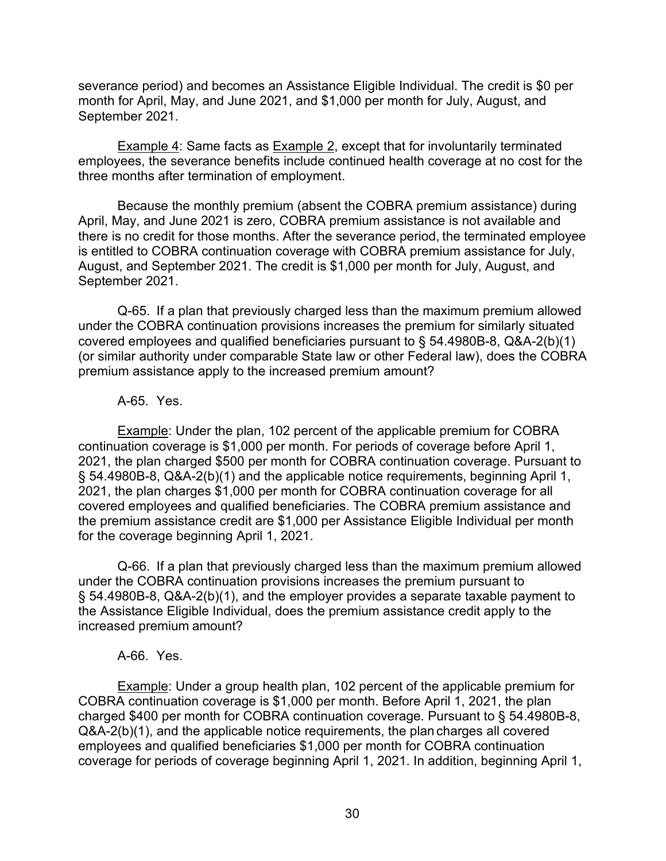severance period) and becomes an Assistance Eligible Individual. The credit is \$0 per month for April, May, and June 2021, and \$1,000 per month for July, August, and September 2021.

**Example 4: Same facts as Example 2, except that for involuntarily terminated** employees, the severance benefits include continued health coverage at no cost for the three months after termination of employment.

Because the monthly premium (absent the COBRA premium assistance) during April, May, and June 2021 is zero, COBRA premium assistance is not available and there is no credit for those months. After the severance period, the terminated employee is entitled to COBRA continuation coverage with COBRA premium assistance for July, August, and September 2021. The credit is \$1,000 per month for July, August, and September 2021.

Q-65. If a plan that previously charged less than the maximum premium allowed under the COBRA continuation provisions increases the premium for similarly situated covered employees and qualified beneficiaries pursuant to § 54.4980B-8, Q&A-2(b)(1) (or similar authority under comparable State law or other Federal law), does the COBRA premium assistance apply to the increased premium amount?

#### A-65. Yes.

Example: Under the plan, 102 percent of the applicable premium for COBRA continuation coverage is \$1,000 per month. For periods of coverage before April 1, 2021, the plan charged \$500 per month for COBRA continuation coverage. Pursuant to § 54.4980B-8, Q&A-2(b)(1) and the applicable notice requirements, beginning April 1, 2021, the plan charges \$1,000 per month for COBRA continuation coverage for all covered employees and qualified beneficiaries. The COBRA premium assistance and the premium assistance credit are \$1,000 per Assistance Eligible Individual per month for the coverage beginning April 1, 2021.

Q-66. If a plan that previously charged less than the maximum premium allowed under the COBRA continuation provisions increases the premium pursuant to § 54.4980B-8, Q&A-2(b)(1), and the employer provides a separate taxable payment to the Assistance Eligible Individual, does the premium assistance credit apply to the increased premium amount?

#### A-66. Yes.

Example: Under a group health plan, 102 percent of the applicable premium for COBRA continuation coverage is \$1,000 per month. Before April 1, 2021, the plan charged \$400 per month for COBRA continuation coverage. Pursuant to § 54.4980B-8, Q&A-2(b)(1), and the applicable notice requirements, the plan charges all covered employees and qualified beneficiaries \$1,000 per month for COBRA continuation coverage for periods of coverage beginning April 1, 2021. In addition, beginning April 1,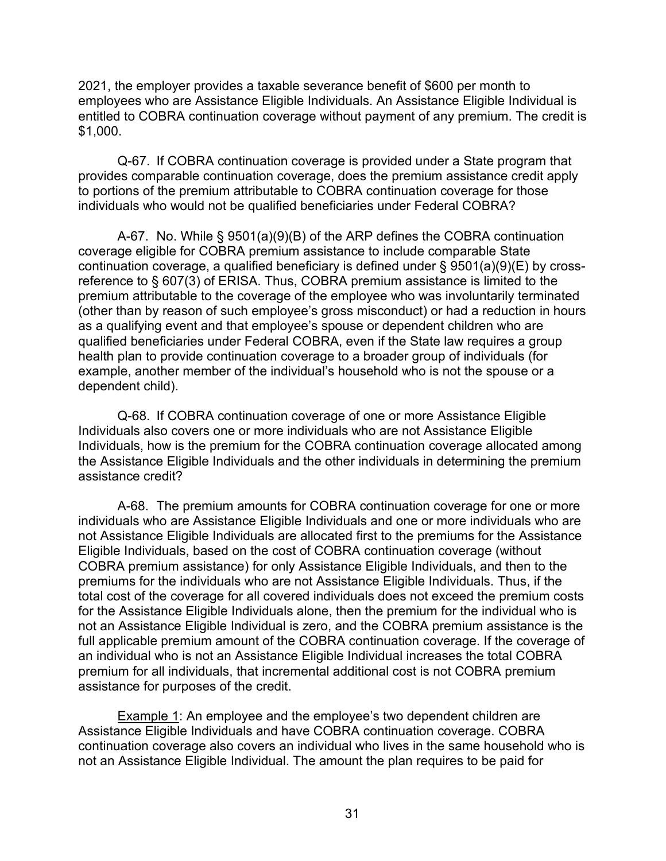2021, the employer provides a taxable severance benefit of \$600 per month to employees who are Assistance Eligible Individuals. An Assistance Eligible Individual is entitled to COBRA continuation coverage without payment of any premium. The credit is \$1,000.

Q-67. If COBRA continuation coverage is provided under a State program that provides comparable continuation coverage, does the premium assistance credit apply to portions of the premium attributable to COBRA continuation coverage for those individuals who would not be qualified beneficiaries under Federal COBRA?

A-67. No. While § 9501(a)(9)(B) of the ARP defines the COBRA continuation coverage eligible for COBRA premium assistance to include comparable State continuation coverage, a qualified beneficiary is defined under § 9501(a)(9)(E) by crossreference to § 607(3) of ERISA. Thus, COBRA premium assistance is limited to the premium attributable to the coverage of the employee who was involuntarily terminated (other than by reason of such employee's gross misconduct) or had a reduction in hours as a qualifying event and that employee's spouse or dependent children who are qualified beneficiaries under Federal COBRA, even if the State law requires a group health plan to provide continuation coverage to a broader group of individuals (for example, another member of the individual's household who is not the spouse or a dependent child).

Q-68. If COBRA continuation coverage of one or more Assistance Eligible Individuals also covers one or more individuals who are not Assistance Eligible Individuals, how is the premium for the COBRA continuation coverage allocated among the Assistance Eligible Individuals and the other individuals in determining the premium assistance credit?

A-68. The premium amounts for COBRA continuation coverage for one or more individuals who are Assistance Eligible Individuals and one or more individuals who are not Assistance Eligible Individuals are allocated first to the premiums for the Assistance Eligible Individuals, based on the cost of COBRA continuation coverage (without COBRA premium assistance) for only Assistance Eligible Individuals, and then to the premiums for the individuals who are not Assistance Eligible Individuals. Thus, if the total cost of the coverage for all covered individuals does not exceed the premium costs for the Assistance Eligible Individuals alone, then the premium for the individual who is not an Assistance Eligible Individual is zero, and the COBRA premium assistance is the full applicable premium amount of the COBRA continuation coverage. If the coverage of an individual who is not an Assistance Eligible Individual increases the total COBRA premium for all individuals, that incremental additional cost is not COBRA premium assistance for purposes of the credit.

**Example 1:** An employee and the employee's two dependent children are Assistance Eligible Individuals and have COBRA continuation coverage. COBRA continuation coverage also covers an individual who lives in the same household who is not an Assistance Eligible Individual. The amount the plan requires to be paid for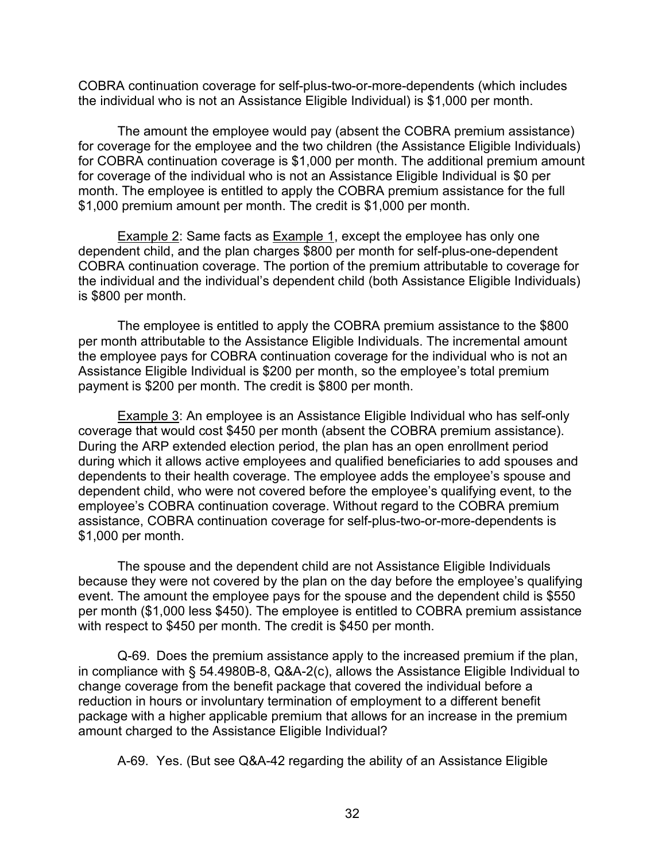COBRA continuation coverage for self-plus-two-or-more-dependents (which includes the individual who is not an Assistance Eligible Individual) is \$1,000 per month.

The amount the employee would pay (absent the COBRA premium assistance) for coverage for the employee and the two children (the Assistance Eligible Individuals) for COBRA continuation coverage is \$1,000 per month. The additional premium amount for coverage of the individual who is not an Assistance Eligible Individual is \$0 per month. The employee is entitled to apply the COBRA premium assistance for the full \$1,000 premium amount per month. The credit is \$1,000 per month.

**Example 2: Same facts as Example 1, except the employee has only one** dependent child, and the plan charges \$800 per month for self-plus-one-dependent COBRA continuation coverage. The portion of the premium attributable to coverage for the individual and the individual's dependent child (both Assistance Eligible Individuals) is \$800 per month.

The employee is entitled to apply the COBRA premium assistance to the \$800 per month attributable to the Assistance Eligible Individuals. The incremental amount the employee pays for COBRA continuation coverage for the individual who is not an Assistance Eligible Individual is \$200 per month, so the employee's total premium payment is \$200 per month. The credit is \$800 per month.

Example 3: An employee is an Assistance Eligible Individual who has self-only coverage that would cost \$450 per month (absent the COBRA premium assistance). During the ARP extended election period, the plan has an open enrollment period during which it allows active employees and qualified beneficiaries to add spouses and dependents to their health coverage. The employee adds the employee's spouse and dependent child, who were not covered before the employee's qualifying event, to the employee's COBRA continuation coverage. Without regard to the COBRA premium assistance, COBRA continuation coverage for self-plus-two-or-more-dependents is \$1,000 per month.

The spouse and the dependent child are not Assistance Eligible Individuals because they were not covered by the plan on the day before the employee's qualifying event. The amount the employee pays for the spouse and the dependent child is \$550 per month (\$1,000 less \$450). The employee is entitled to COBRA premium assistance with respect to \$450 per month. The credit is \$450 per month.

Q-69. Does the premium assistance apply to the increased premium if the plan, in compliance with § 54.4980B-8, Q&A-2(c), allows the Assistance Eligible Individual to change coverage from the benefit package that covered the individual before a reduction in hours or involuntary termination of employment to a different benefit package with a higher applicable premium that allows for an increase in the premium amount charged to the Assistance Eligible Individual?

A-69. Yes. (But see Q&A-42 regarding the ability of an Assistance Eligible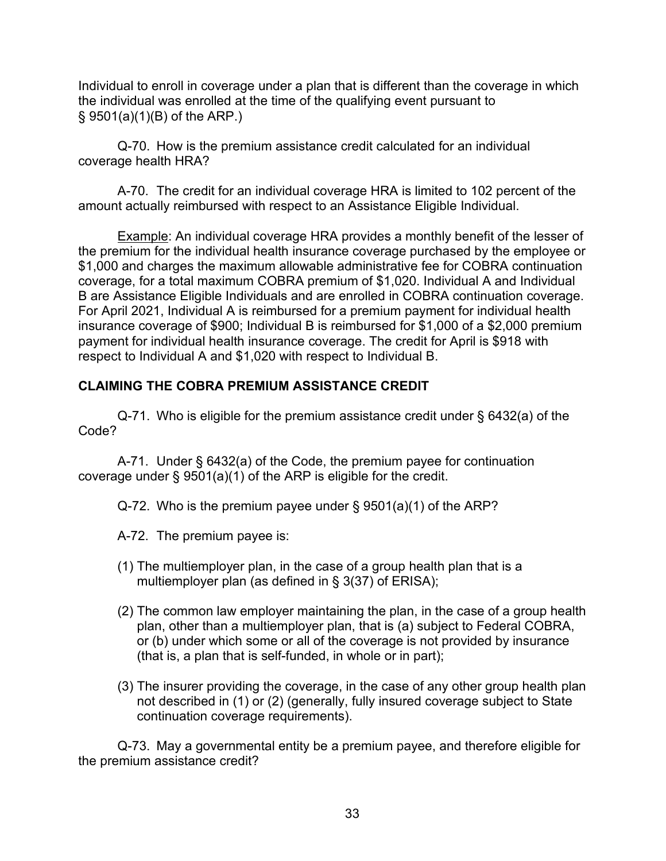Individual to enroll in coverage under a plan that is different than the coverage in which the individual was enrolled at the time of the qualifying event pursuant to § 9501(a)(1)(B) of the ARP.)

Q-70. How is the premium assistance credit calculated for an individual coverage health HRA?

A-70. The credit for an individual coverage HRA is limited to 102 percent of the amount actually reimbursed with respect to an Assistance Eligible Individual.

**Example:** An individual coverage HRA provides a monthly benefit of the lesser of the premium for the individual health insurance coverage purchased by the employee or \$1,000 and charges the maximum allowable administrative fee for COBRA continuation coverage, for a total maximum COBRA premium of \$1,020. Individual A and Individual B are Assistance Eligible Individuals and are enrolled in COBRA continuation coverage. For April 2021, Individual A is reimbursed for a premium payment for individual health insurance coverage of \$900; Individual B is reimbursed for \$1,000 of a \$2,000 premium payment for individual health insurance coverage. The credit for April is \$918 with respect to Individual A and \$1,020 with respect to Individual B.

## **CLAIMING THE COBRA PREMIUM ASSISTANCE CREDIT**

Q-71. Who is eligible for the premium assistance credit under § 6432(a) of the Code?

A-71. Under § 6432(a) of the Code, the premium payee for continuation coverage under § 9501(a)(1) of the ARP is eligible for the credit.

Q-72. Who is the premium payee under § 9501(a)(1) of the ARP?

A-72. The premium payee is:

- (1) The multiemployer plan, in the case of a group health plan that is a multiemployer plan (as defined in § 3(37) of ERISA);
- (2) The common law employer maintaining the plan, in the case of a group health plan, other than a multiemployer plan, that is (a) subject to Federal COBRA, or (b) under which some or all of the coverage is not provided by insurance (that is, a plan that is self-funded, in whole or in part);
- (3) The insurer providing the coverage, in the case of any other group health plan not described in (1) or (2) (generally, fully insured coverage subject to State continuation coverage requirements).

Q-73. May a governmental entity be a premium payee, and therefore eligible for the premium assistance credit?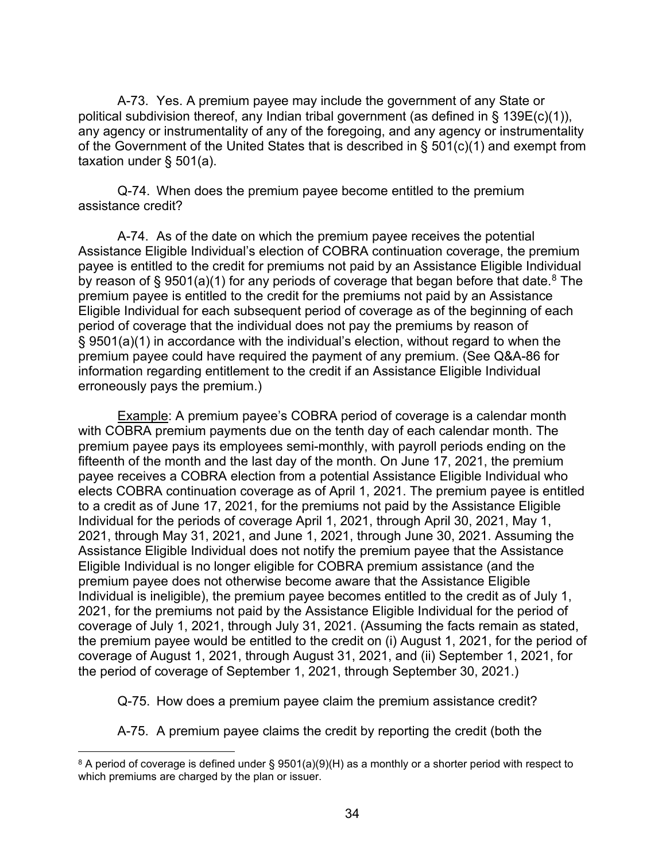A-73. Yes. A premium payee may include the government of any State or political subdivision thereof, any Indian tribal government (as defined in § 139E(c)(1)), any agency or instrumentality of any of the foregoing, and any agency or instrumentality of the Government of the United States that is described in § 501(c)(1) and exempt from taxation under § 501(a).

Q-74. When does the premium payee become entitled to the premium assistance credit?

A-74. As of the date on which the premium payee receives the potential Assistance Eligible Individual's election of COBRA continuation coverage, the premium payee is entitled to the credit for premiums not paid by an Assistance Eligible Individual by reason of § 9501(a)(1) for any periods of coverage that began before that date.<sup>8</sup> The premium payee is entitled to the credit for the premiums not paid by an Assistance Eligible Individual for each subsequent period of coverage as of the beginning of each period of coverage that the individual does not pay the premiums by reason of § 9501(a)(1) in accordance with the individual's election, without regard to when the premium payee could have required the payment of any premium. (See Q&A-86 for information regarding entitlement to the credit if an Assistance Eligible Individual erroneously pays the premium.)

Example: A premium payee's COBRA period of coverage is a calendar month with COBRA premium payments due on the tenth day of each calendar month. The premium payee pays its employees semi-monthly, with payroll periods ending on the fifteenth of the month and the last day of the month. On June 17, 2021, the premium payee receives a COBRA election from a potential Assistance Eligible Individual who elects COBRA continuation coverage as of April 1, 2021. The premium payee is entitled to a credit as of June 17, 2021, for the premiums not paid by the Assistance Eligible Individual for the periods of coverage April 1, 2021, through April 30, 2021, May 1, 2021, through May 31, 2021, and June 1, 2021, through June 30, 2021. Assuming the Assistance Eligible Individual does not notify the premium payee that the Assistance Eligible Individual is no longer eligible for COBRA premium assistance (and the premium payee does not otherwise become aware that the Assistance Eligible Individual is ineligible), the premium payee becomes entitled to the credit as of July 1, 2021, for the premiums not paid by the Assistance Eligible Individual for the period of coverage of July 1, 2021, through July 31, 2021. (Assuming the facts remain as stated, the premium payee would be entitled to the credit on (i) August 1, 2021, for the period of coverage of August 1, 2021, through August 31, 2021, and (ii) September 1, 2021, for the period of coverage of September 1, 2021, through September 30, 2021.)

Q-75. How does a premium payee claim the premium assistance credit?

A-75. A premium payee claims the credit by reporting the credit (both the

<span id="page-33-0"></span><sup>&</sup>lt;sup>8</sup> A period of coverage is defined under § 9501(a)(9)(H) as a monthly or a shorter period with respect to which premiums are charged by the plan or issuer.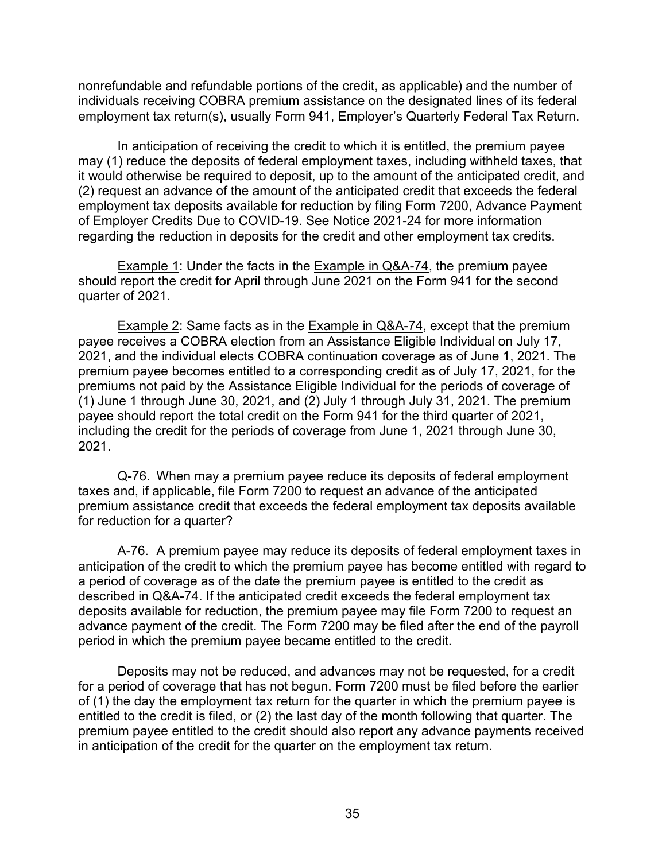nonrefundable and refundable portions of the credit, as applicable) and the number of individuals receiving COBRA premium assistance on the designated lines of its federal employment tax return(s), usually Form 941, Employer's Quarterly Federal Tax Return.

In anticipation of receiving the credit to which it is entitled, the premium payee may (1) reduce the deposits of federal employment taxes, including withheld taxes, that it would otherwise be required to deposit, up to the amount of the anticipated credit, and (2) request an advance of the amount of the anticipated credit that exceeds the federal employment tax deposits available for reduction by filing Form 7200, Advance Payment of Employer Credits Due to COVID-19. See Notice 2021-24 for more information regarding the reduction in deposits for the credit and other employment tax credits.

Example 1: Under the facts in the Example in Q&A-74, the premium payee should report the credit for April through June 2021 on the Form 941 for the second quarter of 2021.

Example 2: Same facts as in the Example in Q&A-74, except that the premium payee receives a COBRA election from an Assistance Eligible Individual on July 17, 2021, and the individual elects COBRA continuation coverage as of June 1, 2021. The premium payee becomes entitled to a corresponding credit as of July 17, 2021, for the premiums not paid by the Assistance Eligible Individual for the periods of coverage of  $(1)$  June 1 through June 30, 2021, and  $(2)$  July 1 through July 31, 2021. The premium payee should report the total credit on the Form 941 for the third quarter of 2021, including the credit for the periods of coverage from June 1, 2021 through June 30, 2021.

Q-76. When may a premium payee reduce its deposits of federal employment taxes and, if applicable, file Form 7200 to request an advance of the anticipated premium assistance credit that exceeds the federal employment tax deposits available for reduction for a quarter?

A-76. A premium payee may reduce its deposits of federal employment taxes in anticipation of the credit to which the premium payee has become entitled with regard to a period of coverage as of the date the premium payee is entitled to the credit as described in Q&A-74. If the anticipated credit exceeds the federal employment tax deposits available for reduction, the premium payee may file Form 7200 to request an advance payment of the credit. The Form 7200 may be filed after the end of the payroll period in which the premium payee became entitled to the credit.

Deposits may not be reduced, and advances may not be requested, for a credit for a period of coverage that has not begun. Form 7200 must be filed before the earlier of (1) the day the employment tax return for the quarter in which the premium payee is entitled to the credit is filed, or (2) the last day of the month following that quarter. The premium payee entitled to the credit should also report any advance payments received in anticipation of the credit for the quarter on the employment tax return.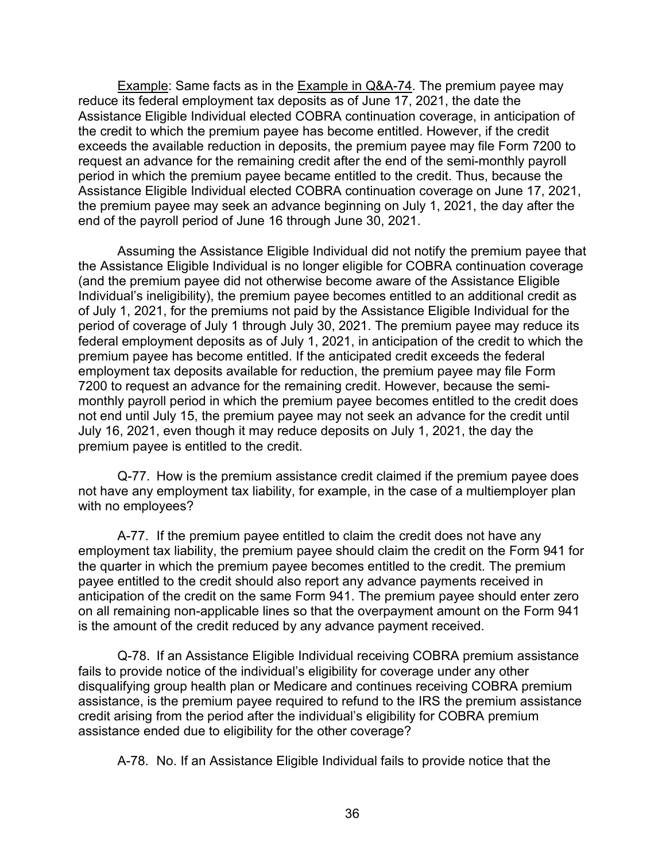Example: Same facts as in the Example in Q&A-74. The premium payee may reduce its federal employment tax deposits as of June 17, 2021, the date the Assistance Eligible Individual elected COBRA continuation coverage, in anticipation of the credit to which the premium payee has become entitled. However, if the credit exceeds the available reduction in deposits, the premium payee may file Form 7200 to request an advance for the remaining credit after the end of the semi-monthly payroll period in which the premium payee became entitled to the credit. Thus, because the Assistance Eligible Individual elected COBRA continuation coverage on June 17, 2021, the premium payee may seek an advance beginning on July 1, 2021, the day after the end of the payroll period of June 16 through June 30, 2021.

Assuming the Assistance Eligible Individual did not notify the premium payee that the Assistance Eligible Individual is no longer eligible for COBRA continuation coverage (and the premium payee did not otherwise become aware of the Assistance Eligible Individual's ineligibility), the premium payee becomes entitled to an additional credit as of July 1, 2021, for the premiums not paid by the Assistance Eligible Individual for the period of coverage of July 1 through July 30, 2021. The premium payee may reduce its federal employment deposits as of July 1, 2021, in anticipation of the credit to which the premium payee has become entitled. If the anticipated credit exceeds the federal employment tax deposits available for reduction, the premium payee may file Form 7200 to request an advance for the remaining credit. However, because the semimonthly payroll period in which the premium payee becomes entitled to the credit does not end until July 15, the premium payee may not seek an advance for the credit until July 16, 2021, even though it may reduce deposits on July 1, 2021, the day the premium payee is entitled to the credit.

Q-77. How is the premium assistance credit claimed if the premium payee does not have any employment tax liability, for example, in the case of a multiemployer plan with no employees?

A-77. If the premium payee entitled to claim the credit does not have any employment tax liability, the premium payee should claim the credit on the Form 941 for the quarter in which the premium payee becomes entitled to the credit. The premium payee entitled to the credit should also report any advance payments received in anticipation of the credit on the same Form 941. The premium payee should enter zero on all remaining non-applicable lines so that the overpayment amount on the Form 941 is the amount of the credit reduced by any advance payment received.

Q-78. If an Assistance Eligible Individual receiving COBRA premium assistance fails to provide notice of the individual's eligibility for coverage under any other disqualifying group health plan or Medicare and continues receiving COBRA premium assistance, is the premium payee required to refund to the IRS the premium assistance credit arising from the period after the individual's eligibility for COBRA premium assistance ended due to eligibility for the other coverage?

A-78. No. If an Assistance Eligible Individual fails to provide notice that the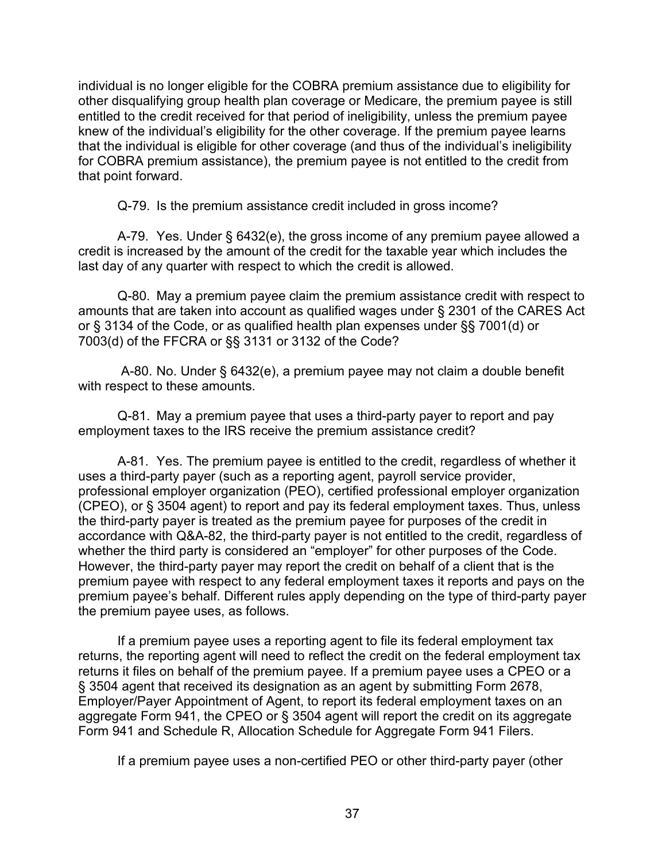individual is no longer eligible for the COBRA premium assistance due to eligibility for other disqualifying group health plan coverage or Medicare, the premium payee is still entitled to the credit received for that period of ineligibility, unless the premium payee knew of the individual's eligibility for the other coverage. If the premium payee learns that the individual is eligible for other coverage (and thus of the individual's ineligibility for COBRA premium assistance), the premium payee is not entitled to the credit from that point forward.

Q-79. Is the premium assistance credit included in gross income?

A-79. Yes. Under § 6432(e), the gross income of any premium payee allowed a credit is increased by the amount of the credit for the taxable year which includes the last day of any quarter with respect to which the credit is allowed.

Q-80. May a premium payee claim the premium assistance credit with respect to amounts that are taken into account as qualified wages under § 2301 of the CARES Act or § 3134 of the Code, or as qualified health plan expenses under §§ 7001(d) or 7003(d) of the FFCRA or §§ 3131 or 3132 of the Code?

A-80. No. Under § 6432(e), a premium payee may not claim a double benefit with respect to these amounts.

Q-81. May a premium payee that uses a third-party payer to report and pay employment taxes to the IRS receive the premium assistance credit?

A-81. Yes. The premium payee is entitled to the credit, regardless of whether it uses a third-party payer (such as a reporting agent, payroll service provider, professional employer organization (PEO), certified professional employer organization (CPEO), or § 3504 agent) to report and pay its federal employment taxes. Thus, unless the third-party payer is treated as the premium payee for purposes of the credit in accordance with Q&A-82, the third-party payer is not entitled to the credit, regardless of whether the third party is considered an "employer" for other purposes of the Code. However, the third-party payer may report the credit on behalf of a client that is the premium payee with respect to any federal employment taxes it reports and pays on the premium payee's behalf. Different rules apply depending on the type of third-party payer the premium payee uses, as follows.

If a premium payee uses a reporting agent to file its federal employment tax returns, the reporting agent will need to reflect the credit on the federal employment tax returns it files on behalf of the premium payee. If a premium payee uses a CPEO or a § 3504 agent that received its designation as an agent by submitting Form 2678, Employer/Payer Appointment of Agent, to report its federal employment taxes on an aggregate Form 941, the CPEO or § 3504 agent will report the credit on its aggregate Form 941 and Schedule R, Allocation Schedule for Aggregate Form 941 Filers.

If a premium payee uses a non-certified PEO or other third-party payer (other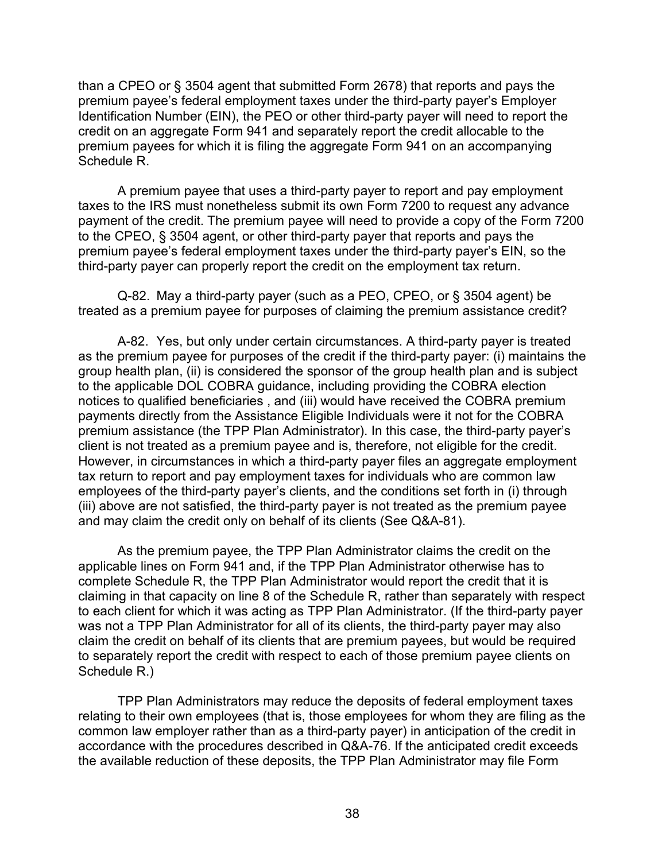than a CPEO or § 3504 agent that submitted Form 2678) that reports and pays the premium payee's federal employment taxes under the third-party payer's Employer Identification Number (EIN), the PEO or other third-party payer will need to report the credit on an aggregate Form 941 and separately report the credit allocable to the premium payees for which it is filing the aggregate Form 941 on an accompanying Schedule R.

A premium payee that uses a third-party payer to report and pay employment taxes to the IRS must nonetheless submit its own Form 7200 to request any advance payment of the credit. The premium payee will need to provide a copy of the Form 7200 to the CPEO, § 3504 agent, or other third-party payer that reports and pays the premium payee's federal employment taxes under the third-party payer's EIN, so the third-party payer can properly report the credit on the employment tax return.

Q-82. May a third-party payer (such as a PEO, CPEO, or § 3504 agent) be treated as a premium payee for purposes of claiming the premium assistance credit?

A-82. Yes, but only under certain circumstances. A third-party payer is treated as the premium payee for purposes of the credit if the third-party payer: (i) maintains the group health plan, (ii) is considered the sponsor of the group health plan and is subject to the applicable DOL COBRA guidance, including providing the COBRA election notices to qualified beneficiaries , and (iii) would have received the COBRA premium payments directly from the Assistance Eligible Individuals were it not for the COBRA premium assistance (the TPP Plan Administrator). In this case, the third-party payer's client is not treated as a premium payee and is, therefore, not eligible for the credit. However, in circumstances in which a third-party payer files an aggregate employment tax return to report and pay employment taxes for individuals who are common law employees of the third-party payer's clients, and the conditions set forth in (i) through (iii) above are not satisfied, the third-party payer is not treated as the premium payee and may claim the credit only on behalf of its clients (See Q&A-81).

As the premium payee, the TPP Plan Administrator claims the credit on the applicable lines on Form 941 and, if the TPP Plan Administrator otherwise has to complete Schedule R, the TPP Plan Administrator would report the credit that it is claiming in that capacity on line 8 of the Schedule R, rather than separately with respect to each client for which it was acting as TPP Plan Administrator. (If the third-party payer was not a TPP Plan Administrator for all of its clients, the third-party payer may also claim the credit on behalf of its clients that are premium payees, but would be required to separately report the credit with respect to each of those premium payee clients on Schedule R.)

TPP Plan Administrators may reduce the deposits of federal employment taxes relating to their own employees (that is, those employees for whom they are filing as the common law employer rather than as a third-party payer) in anticipation of the credit in accordance with the procedures described in Q&A-76. If the anticipated credit exceeds the available reduction of these deposits, the TPP Plan Administrator may file Form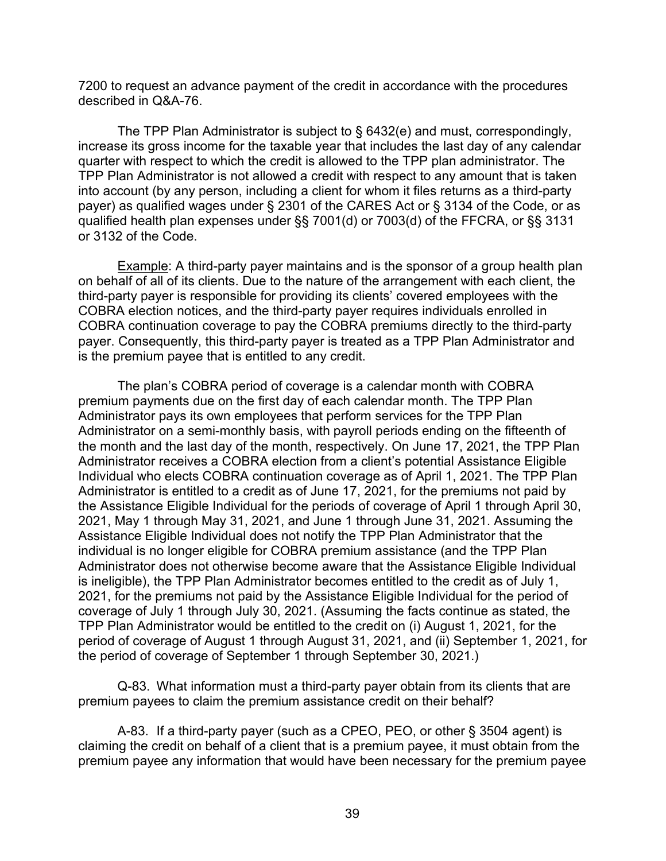7200 to request an advance payment of the credit in accordance with the procedures described in Q&A-76.

The TPP Plan Administrator is subject to § 6432(e) and must, correspondingly, increase its gross income for the taxable year that includes the last day of any calendar quarter with respect to which the credit is allowed to the TPP plan administrator. The TPP Plan Administrator is not allowed a credit with respect to any amount that is taken into account (by any person, including a client for whom it files returns as a third-party payer) as qualified wages under § 2301 of the CARES Act or § 3134 of the Code, or as qualified health plan expenses under §§ 7001(d) or 7003(d) of the FFCRA, or §§ 3131 or 3132 of the Code.

Example: A third-party payer maintains and is the sponsor of a group health plan on behalf of all of its clients. Due to the nature of the arrangement with each client, the third-party payer is responsible for providing its clients' covered employees with the COBRA election notices, and the third-party payer requires individuals enrolled in COBRA continuation coverage to pay the COBRA premiums directly to the third-party payer. Consequently, this third-party payer is treated as a TPP Plan Administrator and is the premium payee that is entitled to any credit.

The plan's COBRA period of coverage is a calendar month with COBRA premium payments due on the first day of each calendar month. The TPP Plan Administrator pays its own employees that perform services for the TPP Plan Administrator on a semi-monthly basis, with payroll periods ending on the fifteenth of the month and the last day of the month, respectively. On June 17, 2021, the TPP Plan Administrator receives a COBRA election from a client's potential Assistance Eligible Individual who elects COBRA continuation coverage as of April 1, 2021. The TPP Plan Administrator is entitled to a credit as of June 17, 2021, for the premiums not paid by the Assistance Eligible Individual for the periods of coverage of April 1 through April 30, 2021, May 1 through May 31, 2021, and June 1 through June 31, 2021. Assuming the Assistance Eligible Individual does not notify the TPP Plan Administrator that the individual is no longer eligible for COBRA premium assistance (and the TPP Plan Administrator does not otherwise become aware that the Assistance Eligible Individual is ineligible), the TPP Plan Administrator becomes entitled to the credit as of July 1, 2021, for the premiums not paid by the Assistance Eligible Individual for the period of coverage of July 1 through July 30, 2021. (Assuming the facts continue as stated, the TPP Plan Administrator would be entitled to the credit on (i) August 1, 2021, for the period of coverage of August 1 through August 31, 2021, and (ii) September 1, 2021, for the period of coverage of September 1 through September 30, 2021.)

Q-83. What information must a third-party payer obtain from its clients that are premium payees to claim the premium assistance credit on their behalf?

A-83. If a third-party payer (such as a CPEO, PEO, or other § 3504 agent) is claiming the credit on behalf of a client that is a premium payee, it must obtain from the premium payee any information that would have been necessary for the premium payee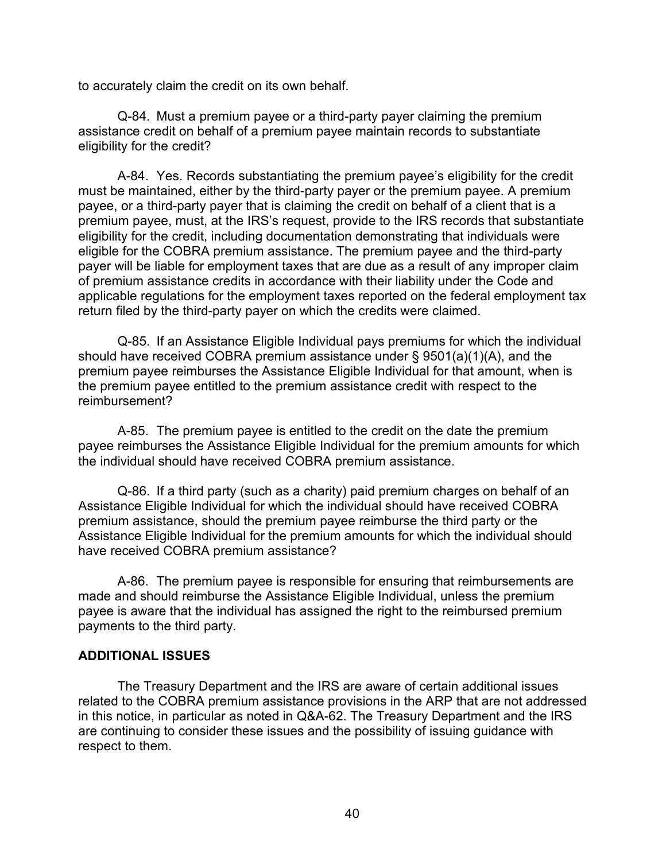to accurately claim the credit on its own behalf.

Q-84. Must a premium payee or a third-party payer claiming the premium assistance credit on behalf of a premium payee maintain records to substantiate eligibility for the credit?

A-84. Yes. Records substantiating the premium payee's eligibility for the credit must be maintained, either by the third-party payer or the premium payee. A premium payee, or a third-party payer that is claiming the credit on behalf of a client that is a premium payee, must, at the IRS's request, provide to the IRS records that substantiate eligibility for the credit, including documentation demonstrating that individuals were eligible for the COBRA premium assistance. The premium payee and the third-party payer will be liable for employment taxes that are due as a result of any improper claim of premium assistance credits in accordance with their liability under the Code and applicable regulations for the employment taxes reported on the federal employment tax return filed by the third-party payer on which the credits were claimed.

Q-85. If an Assistance Eligible Individual pays premiums for which the individual should have received COBRA premium assistance under § 9501(a)(1)(A), and the premium payee reimburses the Assistance Eligible Individual for that amount, when is the premium payee entitled to the premium assistance credit with respect to the reimbursement?

A-85. The premium payee is entitled to the credit on the date the premium payee reimburses the Assistance Eligible Individual for the premium amounts for which the individual should have received COBRA premium assistance.

Q-86. If a third party (such as a charity) paid premium charges on behalf of an Assistance Eligible Individual for which the individual should have received COBRA premium assistance, should the premium payee reimburse the third party or the Assistance Eligible Individual for the premium amounts for which the individual should have received COBRA premium assistance?

A-86. The premium payee is responsible for ensuring that reimbursements are made and should reimburse the Assistance Eligible Individual, unless the premium payee is aware that the individual has assigned the right to the reimbursed premium payments to the third party.

#### **ADDITIONAL ISSUES**

The Treasury Department and the IRS are aware of certain additional issues related to the COBRA premium assistance provisions in the ARP that are not addressed in this notice, in particular as noted in Q&A-62. The Treasury Department and the IRS are continuing to consider these issues and the possibility of issuing guidance with respect to them.